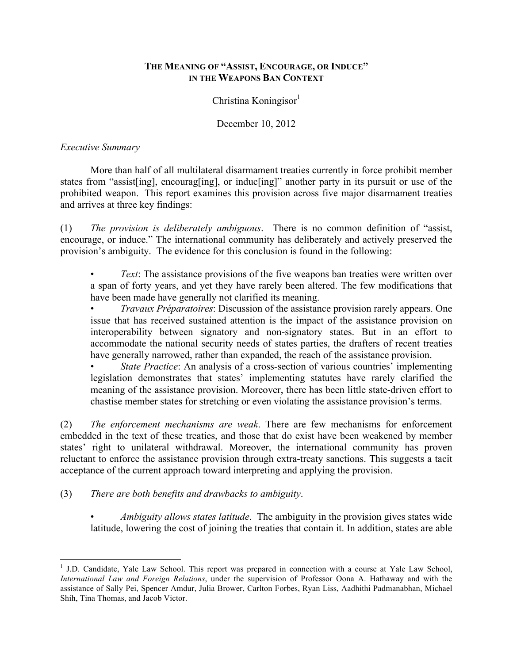# **THE MEANING OF "ASSIST, ENCOURAGE, OR INDUCE" IN THE WEAPONS BAN CONTEXT**

 $Christina Koningisor<sup>1</sup>$ 

December 10, 2012

# *Executive Summary*

More than half of all multilateral disarmament treaties currently in force prohibit member states from "assist[ing], encourag[ing], or induc[ing]" another party in its pursuit or use of the prohibited weapon. This report examines this provision across five major disarmament treaties and arrives at three key findings:

(1) *The provision is deliberately ambiguous*. There is no common definition of "assist, encourage, or induce." The international community has deliberately and actively preserved the provision's ambiguity. The evidence for this conclusion is found in the following:

*Text*: The assistance provisions of the five weapons ban treaties were written over a span of forty years, and yet they have rarely been altered. The few modifications that have been made have generally not clarified its meaning.

• *Travaux Préparatoires*: Discussion of the assistance provision rarely appears. One issue that has received sustained attention is the impact of the assistance provision on interoperability between signatory and non-signatory states. But in an effort to accommodate the national security needs of states parties, the drafters of recent treaties have generally narrowed, rather than expanded, the reach of the assistance provision.

*State Practice*: An analysis of a cross-section of various countries' implementing legislation demonstrates that states' implementing statutes have rarely clarified the meaning of the assistance provision. Moreover, there has been little state-driven effort to chastise member states for stretching or even violating the assistance provision's terms.

(2) *The enforcement mechanisms are weak*. There are few mechanisms for enforcement embedded in the text of these treaties, and those that do exist have been weakened by member states' right to unilateral withdrawal. Moreover, the international community has proven reluctant to enforce the assistance provision through extra-treaty sanctions. This suggests a tacit acceptance of the current approach toward interpreting and applying the provision.

(3) *There are both benefits and drawbacks to ambiguity*.

• *Ambiguity allows states latitude*. The ambiguity in the provision gives states wide latitude, lowering the cost of joining the treaties that contain it. In addition, states are able

<sup>&</sup>lt;sup>1</sup> J.D. Candidate, Yale Law School. This report was prepared in connection with a course at Yale Law School, *International Law and Foreign Relations*, under the supervision of Professor Oona A. Hathaway and with the assistance of Sally Pei, Spencer Amdur, Julia Brower, Carlton Forbes, Ryan Liss, Aadhithi Padmanabhan, Michael Shih, Tina Thomas, and Jacob Victor.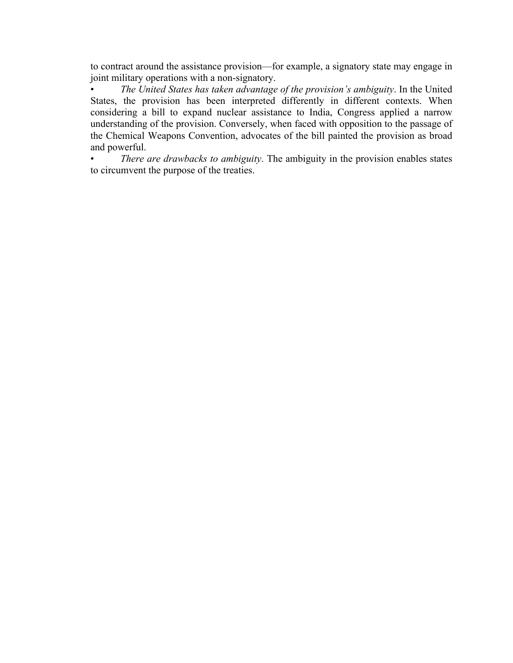to contract around the assistance provision—for example, a signatory state may engage in joint military operations with a non-signatory.

• *The United States has taken advantage of the provision's ambiguity*. In the United States, the provision has been interpreted differently in different contexts. When considering a bill to expand nuclear assistance to India, Congress applied a narrow understanding of the provision. Conversely, when faced with opposition to the passage of the Chemical Weapons Convention, advocates of the bill painted the provision as broad and powerful.

• *There are drawbacks to ambiguity*. The ambiguity in the provision enables states to circumvent the purpose of the treaties.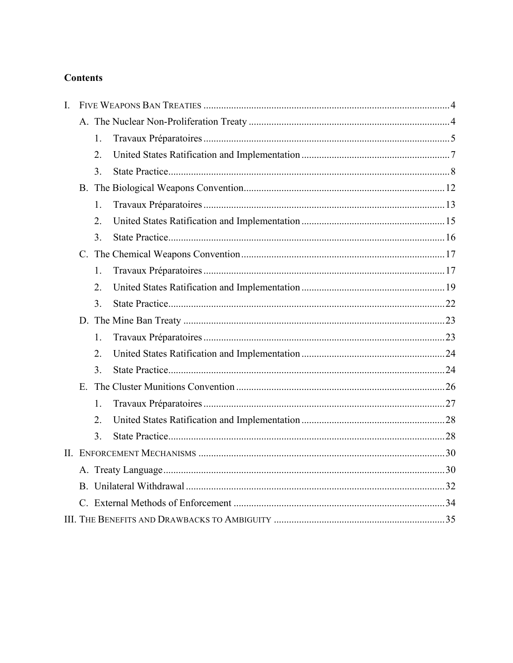# **Contents**

| I. |             |                  |  |  |
|----|-------------|------------------|--|--|
|    |             |                  |  |  |
|    |             | 1.               |  |  |
|    |             | 2.               |  |  |
|    |             | 3 <sub>1</sub>   |  |  |
|    |             |                  |  |  |
|    |             | 1.               |  |  |
|    |             | $\overline{2}$ . |  |  |
|    |             | 3.               |  |  |
|    |             |                  |  |  |
|    |             | 1.               |  |  |
|    |             | $\overline{2}$ . |  |  |
|    |             | 3 <sub>1</sub>   |  |  |
|    |             |                  |  |  |
|    |             | $\mathbf{1}$ .   |  |  |
|    |             | 2.               |  |  |
|    |             | 3 <sub>1</sub>   |  |  |
|    | $E_{\perp}$ |                  |  |  |
|    |             | 1                |  |  |
|    |             | $\overline{2}$ . |  |  |
|    |             | 3 <sub>1</sub>   |  |  |
|    |             |                  |  |  |
|    |             |                  |  |  |
|    |             |                  |  |  |
|    |             |                  |  |  |
|    |             |                  |  |  |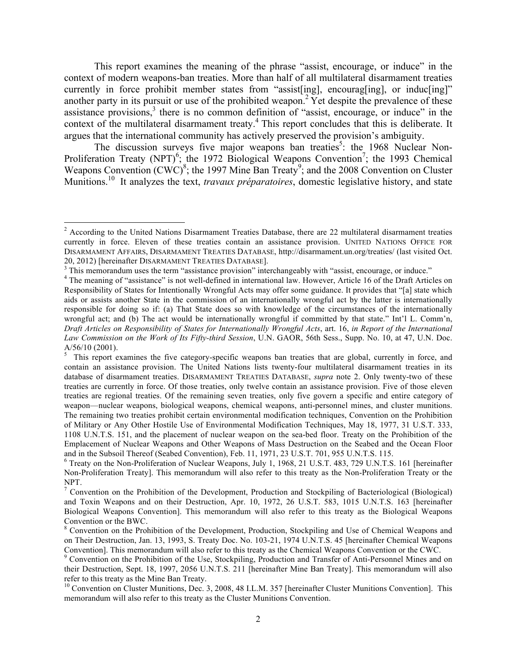This report examines the meaning of the phrase "assist, encourage, or induce" in the context of modern weapons-ban treaties. More than half of all multilateral disarmament treaties currently in force prohibit member states from "assist [ing], encourag [ing], or inducting]" another party in its pursuit or use of the prohibited weapon.2 Yet despite the prevalence of these assistance provisions,<sup>3</sup> there is no common definition of "assist, encourage, or induce" in the context of the multilateral disarmament treaty.<sup>4</sup> This report concludes that this is deliberate. It argues that the international community has actively preserved the provision's ambiguity.

The discussion surveys five major weapons ban treaties<sup>5</sup>: the 1968 Nuclear Non-Proliferation Treaty (NPT)<sup>6</sup>; the 1972 Biological Weapons Convention<sup>7</sup>; the 1993 Chemical Weapons Convention  $(CWC)^8$ ; the 1997 Mine Ban Treaty<sup>9</sup>; and the 2008 Convention on Cluster Munitions.<sup>10</sup> It analyzes the text, *travaux préparatoires*, domestic legislative history, and state

<sup>&</sup>lt;sup>2</sup> According to the United Nations Disarmament Treaties Database, there are 22 multilateral disarmament treaties currently in force. Eleven of these treaties contain an assistance provision. UNITED NATIONS OFFICE FOR DISARMAMENT AFFAIRS, DISARMAMENT TREATIES DATABASE, http://disarmament.un.org/treaties/ (last visited Oct. 20, 2012) [hereinafter DISARMAMENT TREATIES DATABASE].<br><sup>3</sup> This memorandum uses the term "assistance provision" interchangeably with "assist, encourage, or induce."

<sup>&</sup>lt;sup>4</sup> The meaning of "assistance" is not well-defined in international law. However, Article 16 of the Draft Articles on Responsibility of States for Intentionally Wrongful Acts may offer some guidance. It provides that "[a] state which aids or assists another State in the commission of an internationally wrongful act by the latter is internationally responsible for doing so if: (a) That State does so with knowledge of the circumstances of the internationally wrongful act; and (b) The act would be internationally wrongful if committed by that state." Int'l L. Comm'n, *Draft Articles on Responsibility of States for Internationally Wrongful Acts*, art. 16, *in Report of the International Law Commission on the Work of Its Fifty-third Session*, U.N. GAOR, 56th Sess., Supp. No. 10, at 47, U.N. Doc. A/56/10 (2001).

<sup>&</sup>lt;sup>5</sup> This report examines the five category-specific weapons ban treaties that are global, currently in force, and contain an assistance provision. The United Nations lists twenty-four multilateral disarmament treaties in its database of disarmament treaties. DISARMAMENT TREATIES DATABASE, *supra* note 2. Only twenty-two of these treaties are currently in force. Of those treaties, only twelve contain an assistance provision. Five of those eleven treaties are regional treaties. Of the remaining seven treaties, only five govern a specific and entire category of weapon—nuclear weapons, biological weapons, chemical weapons, anti-personnel mines, and cluster munitions. The remaining two treaties prohibit certain environmental modification techniques, Convention on the Prohibition of Military or Any Other Hostile Use of Environmental Modification Techniques, May 18, 1977, 31 U.S.T. 333, 1108 U.N.T.S. 151, and the placement of nuclear weapon on the sea-bed floor. Treaty on the Prohibition of the Emplacement of Nuclear Weapons and Other Weapons of Mass Destruction on the Seabed and the Ocean Floor and in the Subsoil Thereof (Seabed Convention), Feb. 11, 1971, 23 U.S.T. 701, 955 U.N.T.S. 115.

<sup>6</sup> Treaty on the Non-Proliferation of Nuclear Weapons, July 1, 1968, 21 U.S.T. 483, 729 U.N.T.S. 161 [hereinafter Non-Proliferation Treaty]. This memorandum will also refer to this treaty as the Non-Proliferation Treaty or the NPT.

<sup>&</sup>lt;sup>7</sup> Convention on the Prohibition of the Development, Production and Stockpiling of Bacteriological (Biological) and Toxin Weapons and on their Destruction, Apr. 10, 1972, 26 U.S.T. 583, 1015 U.N.T.S. 163 [hereinafter Biological Weapons Convention]. This memorandum will also refer to this treaty as the Biological Weapons Convention or the BWC.

<sup>8</sup> Convention on the Prohibition of the Development, Production, Stockpiling and Use of Chemical Weapons and on Their Destruction, Jan. 13, 1993, S. Treaty Doc. No. 103-21, 1974 U.N.T.S. 45 [hereinafter Chemical Weapons

Convention]. This memorandum will also refer to this treaty as the Chemical Weapons Convention or the CWC.<br><sup>9</sup> Convention on the Prohibition of the Use, Stockpiling, Production and Transfer of Anti-Personnel Mines and on their Destruction, Sept. 18, 1997, 2056 U.N.T.S. 211 [hereinafter Mine Ban Treaty]. This memorandum will also refer to this treaty as the Mine Ban Treaty.

<sup>&</sup>lt;sup>10</sup> Convention on Cluster Munitions, Dec. 3, 2008, 48 I.L.M. 357 [hereinafter Cluster Munitions Convention]. This memorandum will also refer to this treaty as the Cluster Munitions Convention.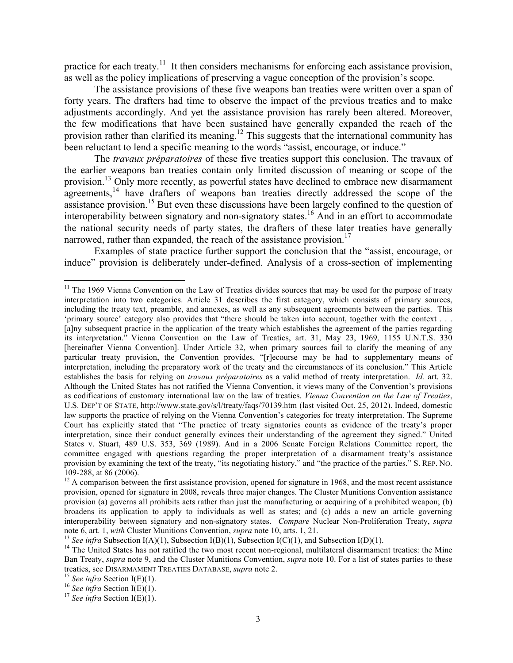practice for each treaty.<sup>11</sup> It then considers mechanisms for enforcing each assistance provision, as well as the policy implications of preserving a vague conception of the provision's scope.

The assistance provisions of these five weapons ban treaties were written over a span of forty years. The drafters had time to observe the impact of the previous treaties and to make adjustments accordingly. And yet the assistance provision has rarely been altered. Moreover, the few modifications that have been sustained have generally expanded the reach of the provision rather than clarified its meaning.<sup>12</sup> This suggests that the international community has been reluctant to lend a specific meaning to the words "assist, encourage, or induce."

The *travaux préparatoires* of these five treaties support this conclusion. The travaux of the earlier weapons ban treaties contain only limited discussion of meaning or scope of the provision.13 Only more recently, as powerful states have declined to embrace new disarmament agreements,<sup>14</sup> have drafters of weapons ban treaties directly addressed the scope of the assistance provision.<sup>15</sup> But even these discussions have been largely confined to the question of interoperability between signatory and non-signatory states.<sup>16</sup> And in an effort to accommodate the national security needs of party states, the drafters of these later treaties have generally narrowed, rather than expanded, the reach of the assistance provision.<sup>17</sup>

Examples of state practice further support the conclusion that the "assist, encourage, or induce" provision is deliberately under-defined. Analysis of a cross-section of implementing

<sup>&</sup>lt;sup>11</sup> The 1969 Vienna Convention on the Law of Treaties divides sources that may be used for the purpose of treaty interpretation into two categories. Article 31 describes the first category, which consists of primary sources, including the treaty text, preamble, and annexes, as well as any subsequent agreements between the parties. This 'primary source' category also provides that "there should be taken into account, together with the context . . . [a]ny subsequent practice in the application of the treaty which establishes the agreement of the parties regarding its interpretation." Vienna Convention on the Law of Treaties, art. 31, May 23, 1969, 1155 U.N.T.S. 330 [hereinafter Vienna Convention]. Under Article 32, when primary sources fail to clarify the meaning of any particular treaty provision, the Convention provides, "[r]ecourse may be had to supplementary means of interpretation, including the preparatory work of the treaty and the circumstances of its conclusion." This Article establishes the basis for relying on *travaux préparatoires* as a valid method of treaty interpretation. *Id.* art. 32. Although the United States has not ratified the Vienna Convention, it views many of the Convention's provisions as codifications of customary international law on the law of treaties. *Vienna Convention on the Law of Treaties*, U.S. DEP'T OF STATE, http://www.state.gov/s/l/treaty/faqs/70139.htm (last visited Oct. 25, 2012). Indeed, domestic law supports the practice of relying on the Vienna Convention's categories for treaty interpretation. The Supreme Court has explicitly stated that "The practice of treaty signatories counts as evidence of the treaty's proper interpretation, since their conduct generally evinces their understanding of the agreement they signed." United States v. Stuart, 489 U.S. 353, 369 (1989). And in a 2006 Senate Foreign Relations Committee report, the committee engaged with questions regarding the proper interpretation of a disarmament treaty's assistance provision by examining the text of the treaty, "its negotiating history," and "the practice of the parties." S. REP. NO. 109-288, at 86 (2006). <sup>12</sup> A comparison between the first assistance provision, opened for signature in 1968, and the most recent assistance

provision, opened for signature in 2008, reveals three major changes. The Cluster Munitions Convention assistance provision (a) governs all prohibits acts rather than just the manufacturing or acquiring of a prohibited weapon; (b) broadens its application to apply to individuals as well as states; and (c) adds a new an article governing interoperability between signatory and non-signatory states. *Compare* Nuclear Non-Proliferation Treaty, *supra* 

<sup>&</sup>lt;sup>13</sup> See infra Subsection I(A)(1), Subsection I(B)(1), Subsection I(C)(1), and Subsection I(D)(1).<br><sup>14</sup> The United States has not ratified the two most recent non-regional, multilateral disarmament treaties: the Mine Ban Treaty, *supra* note 9, and the Cluster Munitions Convention, *supra* note 10. For a list of states parties to these treaties, see DISARMAMENT TREATIES DATABASE, *supra* note 2.<br><sup>15</sup> *See infra* Section I(E)(1).<br><sup>16</sup> *See infra* Section I(E)(1).<br><sup>17</sup> *See infra* Section I(E)(1).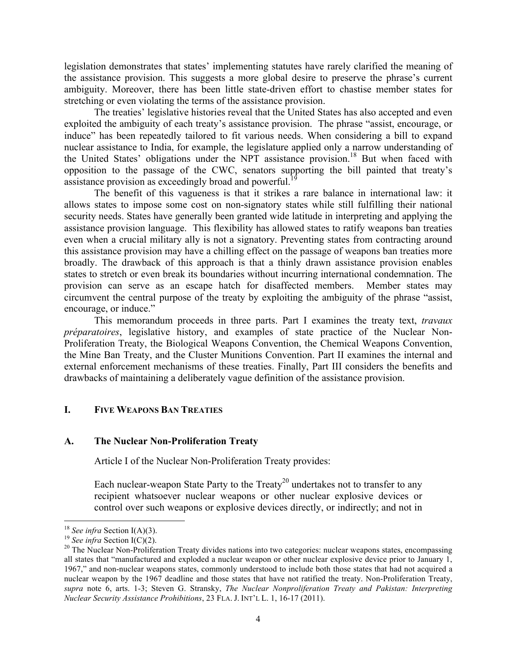legislation demonstrates that states' implementing statutes have rarely clarified the meaning of the assistance provision. This suggests a more global desire to preserve the phrase's current ambiguity. Moreover, there has been little state-driven effort to chastise member states for stretching or even violating the terms of the assistance provision.

The treaties' legislative histories reveal that the United States has also accepted and even exploited the ambiguity of each treaty's assistance provision. The phrase "assist, encourage, or induce" has been repeatedly tailored to fit various needs. When considering a bill to expand nuclear assistance to India, for example, the legislature applied only a narrow understanding of the United States' obligations under the NPT assistance provision.<sup>18</sup> But when faced with opposition to the passage of the CWC, senators supporting the bill painted that treaty's assistance provision as exceedingly broad and powerful.<sup>1</sup>

The benefit of this vagueness is that it strikes a rare balance in international law: it allows states to impose some cost on non-signatory states while still fulfilling their national security needs. States have generally been granted wide latitude in interpreting and applying the assistance provision language. This flexibility has allowed states to ratify weapons ban treaties even when a crucial military ally is not a signatory. Preventing states from contracting around this assistance provision may have a chilling effect on the passage of weapons ban treaties more broadly. The drawback of this approach is that a thinly drawn assistance provision enables states to stretch or even break its boundaries without incurring international condemnation. The provision can serve as an escape hatch for disaffected members. Member states may circumvent the central purpose of the treaty by exploiting the ambiguity of the phrase "assist, encourage, or induce."

This memorandum proceeds in three parts. Part I examines the treaty text, *travaux préparatoires*, legislative history, and examples of state practice of the Nuclear Non-Proliferation Treaty, the Biological Weapons Convention, the Chemical Weapons Convention, the Mine Ban Treaty, and the Cluster Munitions Convention. Part II examines the internal and external enforcement mechanisms of these treaties. Finally, Part III considers the benefits and drawbacks of maintaining a deliberately vague definition of the assistance provision.

# **I. FIVE WEAPONS BAN TREATIES**

#### **A. The Nuclear Non-Proliferation Treaty**

Article I of the Nuclear Non-Proliferation Treaty provides:

Each nuclear-weapon State Party to the Treaty<sup>20</sup> undertakes not to transfer to any recipient whatsoever nuclear weapons or other nuclear explosive devices or control over such weapons or explosive devices directly, or indirectly; and not in

<sup>&</sup>lt;sup>18</sup> *See infra* Section I(A)(3).<br><sup>19</sup> *See infra* Section I(C)(2).<br><sup>20</sup> The Nuclear Non-Proliferation Treaty divides nations into two categories: nuclear weapons states, encompassing all states that "manufactured and exploded a nuclear weapon or other nuclear explosive device prior to January 1, 1967," and non-nuclear weapons states, commonly understood to include both those states that had not acquired a nuclear weapon by the 1967 deadline and those states that have not ratified the treaty. Non-Proliferation Treaty, *supra* note 6, arts. 1-3; Steven G. Stransky, *The Nuclear Nonproliferation Treaty and Pakistan: Interpreting Nuclear Security Assistance Prohibitions*, 23 FLA. J. INT'L L. 1, 16-17 (2011).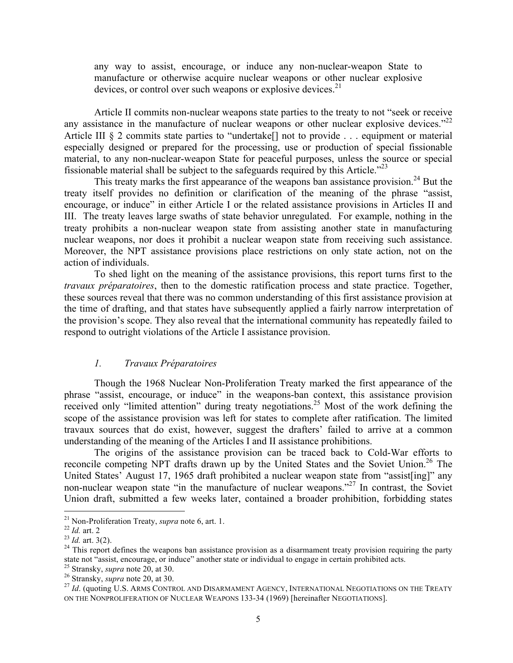any way to assist, encourage, or induce any non-nuclear-weapon State to manufacture or otherwise acquire nuclear weapons or other nuclear explosive devices, or control over such weapons or explosive devices.<sup>21</sup>

Article II commits non-nuclear weapons state parties to the treaty to not "seek or receive any assistance in the manufacture of nuclear weapons or other nuclear explosive devices."<sup>22</sup> Article III § 2 commits state parties to "undertake<sup>[]</sup> not to provide . . . equipment or material especially designed or prepared for the processing, use or production of special fissionable material, to any non-nuclear-weapon State for peaceful purposes, unless the source or special fissionable material shall be subject to the safeguards required by this Article.<sup> $23$ </sup>

This treaty marks the first appearance of the weapons ban assistance provision.<sup>24</sup> But the treaty itself provides no definition or clarification of the meaning of the phrase "assist, encourage, or induce" in either Article I or the related assistance provisions in Articles II and III. The treaty leaves large swaths of state behavior unregulated. For example, nothing in the treaty prohibits a non-nuclear weapon state from assisting another state in manufacturing nuclear weapons, nor does it prohibit a nuclear weapon state from receiving such assistance. Moreover, the NPT assistance provisions place restrictions on only state action, not on the action of individuals.

To shed light on the meaning of the assistance provisions, this report turns first to the *travaux préparatoires*, then to the domestic ratification process and state practice. Together, these sources reveal that there was no common understanding of this first assistance provision at the time of drafting, and that states have subsequently applied a fairly narrow interpretation of the provision's scope. They also reveal that the international community has repeatedly failed to respond to outright violations of the Article I assistance provision.

#### *1. Travaux Préparatoires*

Though the 1968 Nuclear Non-Proliferation Treaty marked the first appearance of the phrase "assist, encourage, or induce" in the weapons-ban context, this assistance provision received only "limited attention" during treaty negotiations.<sup>25</sup> Most of the work defining the scope of the assistance provision was left for states to complete after ratification. The limited travaux sources that do exist, however, suggest the drafters' failed to arrive at a common understanding of the meaning of the Articles I and II assistance prohibitions.

The origins of the assistance provision can be traced back to Cold-War efforts to reconcile competing NPT drafts drawn up by the United States and the Soviet Union.<sup>26</sup> The United States' August 17, 1965 draft prohibited a nuclear weapon state from "assist[ing]" any non-nuclear weapon state "in the manufacture of nuclear weapons."<sup>27</sup> In contrast, the Soviet Union draft, submitted a few weeks later, contained a broader prohibition, forbidding states

<sup>&</sup>lt;sup>21</sup> Non-Proliferation Treaty, *supra* note 6, art. 1.<br>
<sup>22</sup> *Id.* art. 2<br>
<sup>23</sup> *Id.* art. 3(2).<br>
<sup>24</sup> This report defines the weapons ban assistance provision as a disarmament treaty provision requiring the party state not "assist, encourage, or induce" another state or individual to engage in certain prohibited acts.<br><sup>25</sup> Stransky, *supra* note 20, at 30.

<sup>&</sup>lt;sup>26</sup> Stransky, *supra* note 20, at 30.<br><sup>27</sup> *Id.* (quoting U.S. ARMS CONTROL AND DISARMAMENT AGENCY, INTERNATIONAL NEGOTIATIONS ON THE TREATY ON THE NONPROLIFERATION OF NUCLEAR WEAPONS 133-34 (1969) [hereinafter NEGOTIATIONS].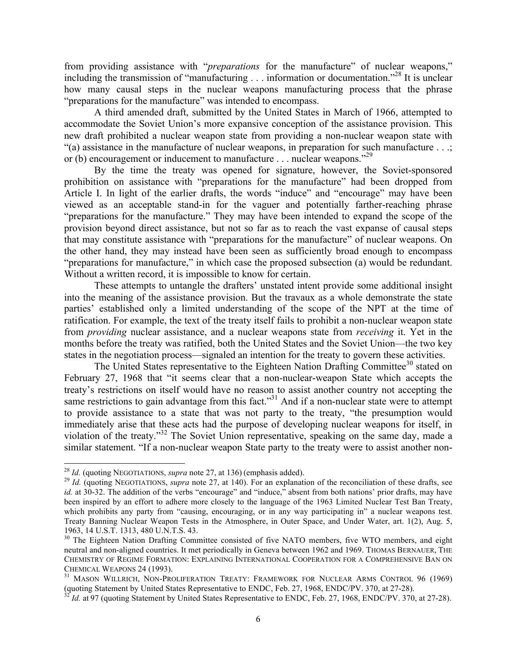from providing assistance with "*preparations* for the manufacture" of nuclear weapons," including the transmission of "manufacturing . . . information or documentation."<sup>28</sup> It is unclear how many causal steps in the nuclear weapons manufacturing process that the phrase "preparations for the manufacture" was intended to encompass.

A third amended draft, submitted by the United States in March of 1966, attempted to accommodate the Soviet Union's more expansive conception of the assistance provision. This new draft prohibited a nuclear weapon state from providing a non-nuclear weapon state with "(a) assistance in the manufacture of nuclear weapons, in preparation for such manufacture . . .; or (b) encouragement or inducement to manufacture . . . nuclear weapons.<sup>229</sup>

By the time the treaty was opened for signature, however, the Soviet-sponsored prohibition on assistance with "preparations for the manufacture" had been dropped from Article I. In light of the earlier drafts, the words "induce" and "encourage" may have been viewed as an acceptable stand-in for the vaguer and potentially farther-reaching phrase "preparations for the manufacture." They may have been intended to expand the scope of the provision beyond direct assistance, but not so far as to reach the vast expanse of causal steps that may constitute assistance with "preparations for the manufacture" of nuclear weapons. On the other hand, they may instead have been seen as sufficiently broad enough to encompass "preparations for manufacture," in which case the proposed subsection (a) would be redundant. Without a written record, it is impossible to know for certain.

These attempts to untangle the drafters' unstated intent provide some additional insight into the meaning of the assistance provision. But the travaux as a whole demonstrate the state parties' established only a limited understanding of the scope of the NPT at the time of ratification. For example, the text of the treaty itself fails to prohibit a non-nuclear weapon state from *providing* nuclear assistance, and a nuclear weapons state from *receiving* it. Yet in the months before the treaty was ratified, both the United States and the Soviet Union—the two key states in the negotiation process—signaled an intention for the treaty to govern these activities.

The United States representative to the Eighteen Nation Drafting Committee<sup>30</sup> stated on February 27, 1968 that "it seems clear that a non-nuclear-weapon State which accepts the treaty's restrictions on itself would have no reason to assist another country not accepting the same restrictions to gain advantage from this fact."<sup>31</sup> And if a non-nuclear state were to attempt to provide assistance to a state that was not party to the treaty, "the presumption would immediately arise that these acts had the purpose of developing nuclear weapons for itself, in violation of the treaty."32 The Soviet Union representative, speaking on the same day, made a similar statement. "If a non-nuclear weapon State party to the treaty were to assist another non-

<sup>&</sup>lt;sup>28</sup> *Id.* (quoting NEGOTIATIONS, *supra* note 27, at 136) (emphasis added).<br><sup>29</sup> *Id.* (quoting NEGOTIATIONS, *supra* note 27, at 140). For an explanation of the reconciliation of these drafts, see *id.* at 30-32. The addition of the verbs "encourage" and "induce," absent from both nations' prior drafts, may have been inspired by an effort to adhere more closely to the language of the 1963 Limited Nuclear Test Ban Treaty, which prohibits any party from "causing, encouraging, or in any way participating in" a nuclear weapons test. Treaty Banning Nuclear Weapon Tests in the Atmosphere, in Outer Space, and Under Water, art. 1(2), Aug. 5, 1963, 14 U.S.T. 1313, 480 U.N.T.S. 43.

<sup>&</sup>lt;sup>30</sup> The Eighteen Nation Drafting Committee consisted of five NATO members, five WTO members, and eight neutral and non-aligned countries. It met periodically in Geneva between 1962 and 1969. THOMAS BERNAUER, THE CHEMISTRY OF REGIME FORMATION: EXPLAINING INTERNATIONAL COOPERATION FOR A COMPREHENSIVE BAN ON

CHEMICAL WEAPONS 24 (1993).<br><sup>31</sup> MASON WILLRICH, NON-PROLIFERATION TREATY: FRAMEWORK FOR NUCLEAR ARMS CONTROL 96 (1969)<br>(quoting Statement by United States Representative to ENDC, Feb. 27, 1968, ENDC/PV. 370, at 27-28).

<sup>&</sup>lt;sup>32</sup> *Id.* at 97 (quoting Statement by United States Representative to ENDC, Feb. 27, 1968, ENDC/PV. 370, at 27-28).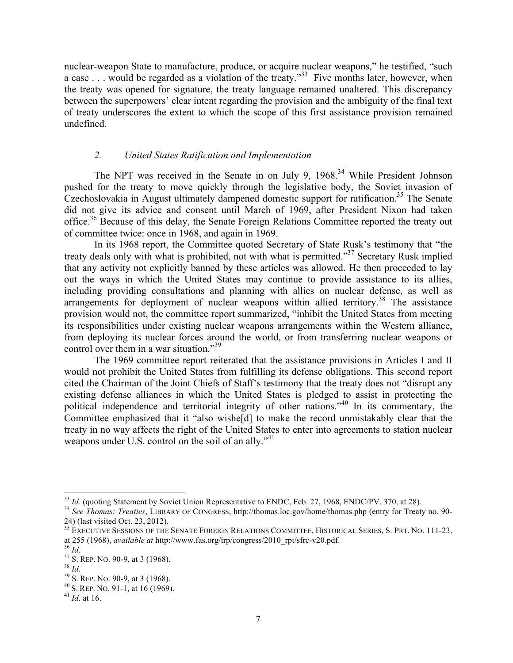nuclear-weapon State to manufacture, produce, or acquire nuclear weapons," he testified, "such a case . . . would be regarded as a violation of the treaty."<sup>33</sup> Five months later, however, when the treaty was opened for signature, the treaty language remained unaltered. This discrepancy between the superpowers' clear intent regarding the provision and the ambiguity of the final text of treaty underscores the extent to which the scope of this first assistance provision remained undefined.

# *2. United States Ratification and Implementation*

The NPT was received in the Senate in on July 9, 1968.<sup>34</sup> While President Johnson pushed for the treaty to move quickly through the legislative body, the Soviet invasion of Czechoslovakia in August ultimately dampened domestic support for ratification.<sup>35</sup> The Senate did not give its advice and consent until March of 1969, after President Nixon had taken office.36 Because of this delay, the Senate Foreign Relations Committee reported the treaty out of committee twice: once in 1968, and again in 1969.

In its 1968 report, the Committee quoted Secretary of State Rusk's testimony that "the treaty deals only with what is prohibited, not with what is permitted."37 Secretary Rusk implied that any activity not explicitly banned by these articles was allowed. He then proceeded to lay out the ways in which the United States may continue to provide assistance to its allies, including providing consultations and planning with allies on nuclear defense, as well as arrangements for deployment of nuclear weapons within allied territory.<sup>38</sup> The assistance provision would not, the committee report summarized, "inhibit the United States from meeting its responsibilities under existing nuclear weapons arrangements within the Western alliance, from deploying its nuclear forces around the world, or from transferring nuclear weapons or control over them in a war situation."<sup>39</sup>

The 1969 committee report reiterated that the assistance provisions in Articles I and II would not prohibit the United States from fulfilling its defense obligations. This second report cited the Chairman of the Joint Chiefs of Staff's testimony that the treaty does not "disrupt any existing defense alliances in which the United States is pledged to assist in protecting the political independence and territorial integrity of other nations."<sup>40</sup> In its commentary, the Committee emphasized that it "also wishe[d] to make the record unmistakably clear that the treaty in no way affects the right of the United States to enter into agreements to station nuclear weapons under U.S. control on the soil of an ally."<sup>41</sup>

 $^{33}$  *Id.* (quoting Statement by Soviet Union Representative to ENDC, Feb. 27, 1968, ENDC/PV. 370, at 28).<br><sup>34</sup> See Thomas: Treaties, LIBRARY OF CONGRESS, http://thomas.loc.gov/home/thomas.php (entry for Treaty no. 90-24) (last visited Oct. 23, 2012).

<sup>&</sup>lt;sup>35</sup> EXECUTIVE SESSIONS OF THE SENATE FOREIGN RELATIONS COMMITTEE, HISTORICAL SERIES, S. PRT. NO. 111-23, at 255 (1968), *available at* http://www.fas.org/irp/congress/2010\_rpt/sfrc-v20.pdf.<br><sup>36</sup> *Id.*<br><sup>37</sup> S. REP. NO. 90-9, at 3 (1968).<br><sup>38</sup> S. REP. NO. 90-9, at 3 (1968).<br><sup>39</sup> S. REP. NO. 90-9, at 3 (1968).<br><sup>40</sup> S. REP. NO.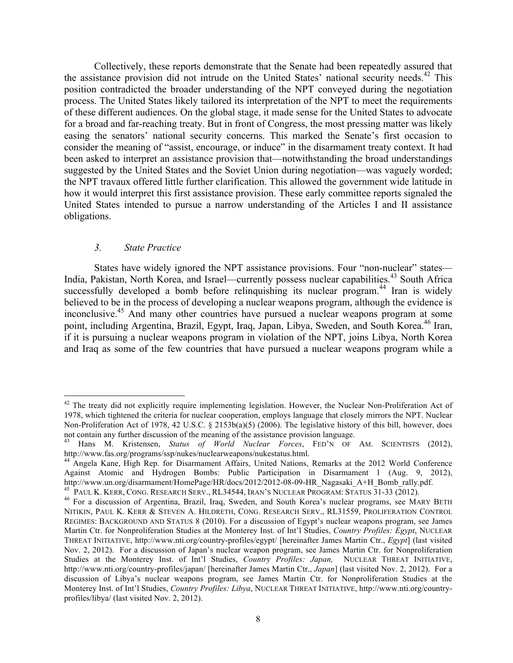Collectively, these reports demonstrate that the Senate had been repeatedly assured that the assistance provision did not intrude on the United States' national security needs.<sup>42</sup> This position contradicted the broader understanding of the NPT conveyed during the negotiation process. The United States likely tailored its interpretation of the NPT to meet the requirements of these different audiences. On the global stage, it made sense for the United States to advocate for a broad and far-reaching treaty. But in front of Congress, the most pressing matter was likely easing the senators' national security concerns. This marked the Senate's first occasion to consider the meaning of "assist, encourage, or induce" in the disarmament treaty context. It had been asked to interpret an assistance provision that—notwithstanding the broad understandings suggested by the United States and the Soviet Union during negotiation—was vaguely worded; the NPT travaux offered little further clarification. This allowed the government wide latitude in how it would interpret this first assistance provision. These early committee reports signaled the United States intended to pursue a narrow understanding of the Articles I and II assistance obligations.

# *3. State Practice*

States have widely ignored the NPT assistance provisions. Four "non-nuclear" states— India, Pakistan, North Korea, and Israel—currently possess nuclear capabilities.<sup>43</sup> South Africa successfully developed a bomb before relinquishing its nuclear program.<sup>44</sup> Iran is widely believed to be in the process of developing a nuclear weapons program, although the evidence is inconclusive. <sup>45</sup> And many other countries have pursued a nuclear weapons program at some point, including Argentina, Brazil, Egypt, Iraq, Japan, Libya, Sweden, and South Korea.<sup>46</sup> Iran, if it is pursuing a nuclear weapons program in violation of the NPT, joins Libya, North Korea and Iraq as some of the few countries that have pursued a nuclear weapons program while a

<sup>&</sup>lt;sup>42</sup> The treaty did not explicitly require implementing legislation. However, the Nuclear Non-Proliferation Act of 1978, which tightened the criteria for nuclear cooperation, employs language that closely mirrors the NPT. Nuclear Non-Proliferation Act of 1978, 42 U.S.C. § 2153b(a)(5) (2006). The legislative history of this bill, however, does not contain any further discussion of the meaning of the assistance provision language.

<sup>43</sup> Hans M. Kristensen, *Status of World Nuclear Forces*, FED'N OF AM. SCIENTISTS (2012), http://www.fas.org/programs/ssp/nukes/nuclearweapons/nukestatus.html.

<sup>44</sup> Angela Kane, High Rep. for Disarmament Affairs, United Nations, Remarks at the 2012 World Conference Against Atomic and Hydrogen Bombs: Public Participation in Disarmament 1 (Aug. 9, 2012), http://www.un.org/disarmament/HomePage/HR/docs/2012/2012-08-09-HR\_Nagasaki\_A+H\_Bomb\_rally.pdf.<br><sup>45</sup> PAUL K. KERR, CONG. RESEARCH SERV., RL34544, IRAN'S NUCLEAR PROGRAM: STATUS 31-33 (2012).<br><sup>46</sup> For a discussion of Argenti

NITIKIN, PAUL K. KERR & STEVEN A. HILDRETH, CONG. RESEARCH SERV., RL31559, PROLIFERATION CONTROL REGIMES: BACKGROUND AND STATUS 8 (2010). For a discussion of Egypt's nuclear weapons program, see James Martin Ctr. for Nonproliferation Studies at the Monterey Inst. of Int'l Studies, *Country Profiles: Egypt*, NUCLEAR THREAT INITIATIVE, http://www.nti.org/country-profiles/egypt/ [hereinafter James Martin Ctr., *Egypt*] (last visited Nov. 2, 2012). For a discussion of Japan's nuclear weapon program, see James Martin Ctr. for Nonproliferation Studies at the Monterey Inst. of Int'l Studies, *Country Profiles: Japan,* NUCLEAR THREAT INITIATIVE, http://www.nti.org/country-profiles/japan/ [hereinafter James Martin Ctr., *Japan*] (last visited Nov. 2, 2012). For a discussion of Libya's nuclear weapons program, see James Martin Ctr. for Nonproliferation Studies at the Monterey Inst. of Int'l Studies, *Country Profiles: Libya*, NUCLEAR THREAT INITIATIVE, http://www.nti.org/countryprofiles/libya/ (last visited Nov. 2, 2012).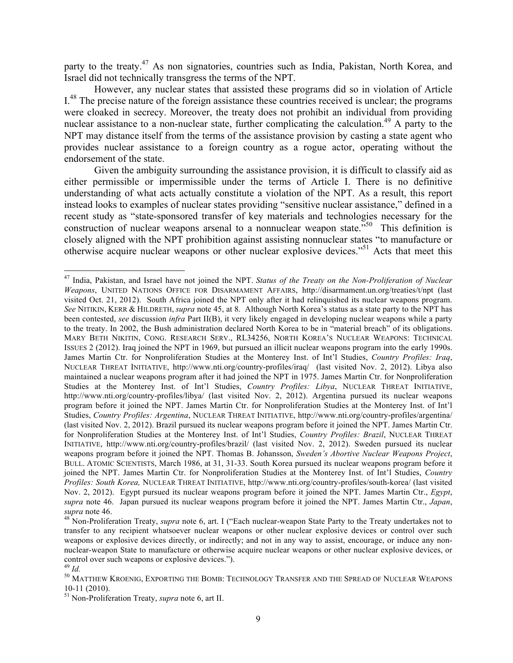party to the treaty.<sup>47</sup> As non signatories, countries such as India, Pakistan, North Korea, and Israel did not technically transgress the terms of the NPT.

However, any nuclear states that assisted these programs did so in violation of Article I.<sup>48</sup> The precise nature of the foreign assistance these countries received is unclear; the programs were cloaked in secrecy. Moreover, the treaty does not prohibit an individual from providing nuclear assistance to a non-nuclear state, further complicating the calculation.<sup>49</sup> A party to the NPT may distance itself from the terms of the assistance provision by casting a state agent who provides nuclear assistance to a foreign country as a rogue actor, operating without the endorsement of the state.

Given the ambiguity surrounding the assistance provision, it is difficult to classify aid as either permissible or impermissible under the terms of Article I. There is no definitive understanding of what acts actually constitute a violation of the NPT. As a result, this report instead looks to examples of nuclear states providing "sensitive nuclear assistance," defined in a recent study as "state-sponsored transfer of key materials and technologies necessary for the construction of nuclear weapons arsenal to a nonnuclear weapon state.<sup>550</sup> This definition is closely aligned with the NPT prohibition against assisting nonnuclear states "to manufacture or otherwise acquire nuclear weapons or other nuclear explosive devices."51 Acts that meet this

 <sup>47</sup> India, Pakistan, and Israel have not joined the NPT. *Status of the Treaty on the Non-Proliferation of Nuclear Weapons*, UNITED NATIONS OFFICE FOR DISARMAMENT AFFAIRS, http://disarmament.un.org/treaties/t/npt (last visited Oct. 21, 2012). South Africa joined the NPT only after it had relinquished its nuclear weapons program. *See* NITIKIN, KERR & HILDRETH, *supra* note 45, at 8. Although North Korea's status as a state party to the NPT has been contested, *see* discussion *infra* Part II(B), it very likely engaged in developing nuclear weapons while a party to the treaty. In 2002, the Bush administration declared North Korea to be in "material breach" of its obligations. MARY BETH NIKITIN, CONG. RESEARCH SERV., RL34256, NORTH KOREA'S NUCLEAR WEAPONS: TECHNICAL ISSUES 2 (2012). Iraq joined the NPT in 1969, but pursued an illicit nuclear weapons program into the early 1990s. James Martin Ctr. for Nonproliferation Studies at the Monterey Inst. of Int'l Studies, *Country Profiles: Iraq*, NUCLEAR THREAT INITIATIVE, http://www.nti.org/country-profiles/iraq/ (last visited Nov. 2, 2012). Libya also maintained a nuclear weapons program after it had joined the NPT in 1975. James Martin Ctr. for Nonproliferation Studies at the Monterey Inst. of Int'l Studies, *Country Profiles: Libya*, NUCLEAR THREAT INITIATIVE, http://www.nti.org/country-profiles/libya/ (last visited Nov. 2, 2012). Argentina pursued its nuclear weapons program before it joined the NPT. James Martin Ctr. for Nonproliferation Studies at the Monterey Inst. of Int'l Studies, *Country Profiles: Argentina*, NUCLEAR THREAT INITIATIVE, http://www.nti.org/country-profiles/argentina/ (last visited Nov. 2, 2012). Brazil pursued its nuclear weapons program before it joined the NPT. James Martin Ctr. for Nonproliferation Studies at the Monterey Inst. of Int'l Studies, *Country Profiles: Brazil*, NUCLEAR THREAT INITIATIVE, http://www.nti.org/country-profiles/brazil/ (last visited Nov. 2, 2012). Sweden pursued its nuclear weapons program before it joined the NPT. Thomas B. Johansson, *Sweden's Abortive Nuclear Weapons Project*, BULL. ATOMIC SCIENTISTS, March 1986, at 31, 31-33. South Korea pursued its nuclear weapons program before it joined the NPT. James Martin Ctr. for Nonproliferation Studies at the Monterey Inst. of Int'l Studies, *Country Profiles: South Korea,* NUCLEAR THREAT INITIATIVE, http://www.nti.org/country-profiles/south-korea/ (last visited Nov. 2, 2012). Egypt pursued its nuclear weapons program before it joined the NPT. James Martin Ctr., *Egypt*, *supra* note 46. Japan pursued its nuclear weapons program before it joined the NPT. James Martin Ctr., *Japan*, *supra* note 46. 48 Non-Proliferation Treaty, *supra* note 6, art. I ("Each nuclear-weapon State Party to the Treaty undertakes not to

transfer to any recipient whatsoever nuclear weapons or other nuclear explosive devices or control over such weapons or explosive devices directly, or indirectly; and not in any way to assist, encourage, or induce any nonnuclear-weapon State to manufacture or otherwise acquire nuclear weapons or other nuclear explosive devices, or control over such weapons or explosive devices.").

<sup>49</sup> *Id.* <sup>50</sup> MATTHEW KROENIG, EXPORTING THE BOMB: TECHNOLOGY TRANSFER AND THE SPREAD OF NUCLEAR WEAPONS 10-11 (2010). <sup>51</sup> Non-Proliferation Treaty, *supra* note 6, art II.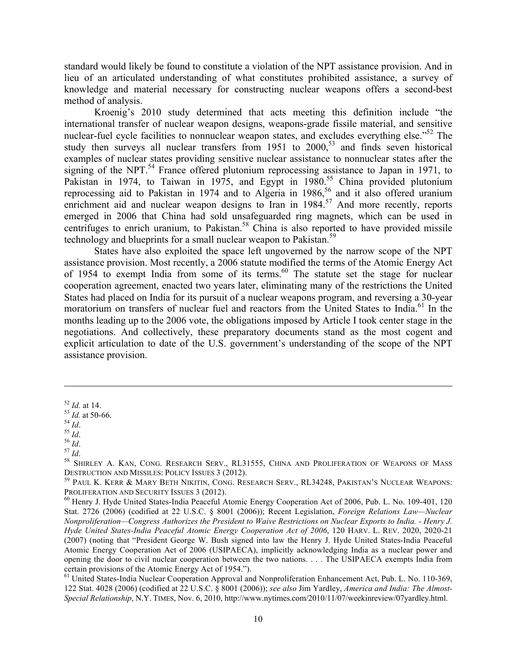standard would likely be found to constitute a violation of the NPT assistance provision. And in lieu of an articulated understanding of what constitutes prohibited assistance, a survey of knowledge and material necessary for constructing nuclear weapons offers a second-best method of analysis.

Kroenig's 2010 study determined that acts meeting this definition include "the international transfer of nuclear weapon designs, weapons-grade fissile material, and sensitive nuclear-fuel cycle facilities to nonnuclear weapon states, and excludes everything else.<sup>552</sup> The study then surveys all nuclear transfers from  $1951$  to  $2000$ ,<sup>53</sup> and finds seven historical examples of nuclear states providing sensitive nuclear assistance to nonnuclear states after the signing of the NPT.<sup>54</sup> France offered plutonium reprocessing assistance to Japan in 1971, to Pakistan in 1974, to Taiwan in 1975, and Egypt in 1980.<sup>55</sup> China provided plutonium reprocessing aid to Pakistan in 1974 and to Algeria in 1986, <sup>56</sup> and it also offered uranium enrichment aid and nuclear weapon designs to Iran in  $1984$ <sup>57</sup> And more recently, reports emerged in 2006 that China had sold unsafeguarded ring magnets, which can be used in centrifuges to enrich uranium, to Pakistan.<sup>58</sup> China is also reported to have provided missile technology and blueprints for a small nuclear weapon to Pakistan.<sup>59</sup>

States have also exploited the space left ungoverned by the narrow scope of the NPT assistance provision. Most recently, a 2006 statute modified the terms of the Atomic Energy Act of 1954 to exempt India from some of its terms. $60$  The statute set the stage for nuclear cooperation agreement, enacted two years later, eliminating many of the restrictions the United States had placed on India for its pursuit of a nuclear weapons program, and reversing a 30-year moratorium on transfers of nuclear fuel and reactors from the United States to India.<sup>61</sup> In the months leading up to the 2006 vote, the obligations imposed by Article I took center stage in the negotiations. And collectively, these preparatory documents stand as the most cogent and explicit articulation to date of the U.S. government's understanding of the scope of the NPT assistance provision.

 $\overline{a}$ 

<sup>&</sup>lt;sup>52</sup> *Id.* at 14.<br>
<sup>53</sup> *Id.* at 50-66.<br>
<sup>54</sup> *Id.*<br>
<sup>55</sup> *Id.*<br>
<sup>57</sup> *Id.*<br>
<sup>57</sup> *Id.*<br>
<sup>58</sup> SHIRLEY A. KAN, CONG. RESEARCH SERV., RL31555, CHINA AND PROLIFERATION OF WEAPONS OF MASS DESTRUCTION AND MISSILES: POLICY ISSUES 3 (2012).<br><sup>59</sup> PAUL K. KERR & MARY BETH NIKITIN, CONG. RESEARCH SERV., RL34248, PAKISTAN'S NUCLEAR WEAPONS:

PROLIFERATION AND SECURITY ISSUES 3 (2012).<br><sup>60</sup> Henry J. Hyde United States-India Peaceful Atomic Energy Cooperation Act of 2006, Pub. L. No. 109-401, 120

Stat. 2726 (2006) (codified at 22 U.S.C. § 8001 (2006)); Recent Legislation, *Foreign Relations Law—Nuclear Nonproliferation—Congress Authorizes the President to Waive Restrictions on Nuclear Exports to India. - Henry J. Hyde United States-India Peaceful Atomic Energy Cooperation Act of 2006*, 120 HARV. L. REV. 2020, 2020-21 (2007) (noting that "President George W. Bush signed into law the Henry J. Hyde United States-India Peaceful Atomic Energy Cooperation Act of 2006 (USIPAECA), implicitly acknowledging India as a nuclear power and opening the door to civil nuclear cooperation between the two nations. . . . The USIPAECA exempts India from certain provisions of the Atomic Energy Act of 1954.").

<sup>&</sup>lt;sup>61</sup> United States-India Nuclear Cooperation Approval and Nonproliferation Enhancement Act, Pub. L. No. 110-369, 122 Stat. 4028 (2006) (codified at 22 U.S.C. § 8001 (2006)); *see also* Jim Yardley, *America and India: The Almost-Special Relationship*, N.Y. TIMES, Nov. 6, 2010, http://www.nytimes.com/2010/11/07/weekinreview/07yardley.html.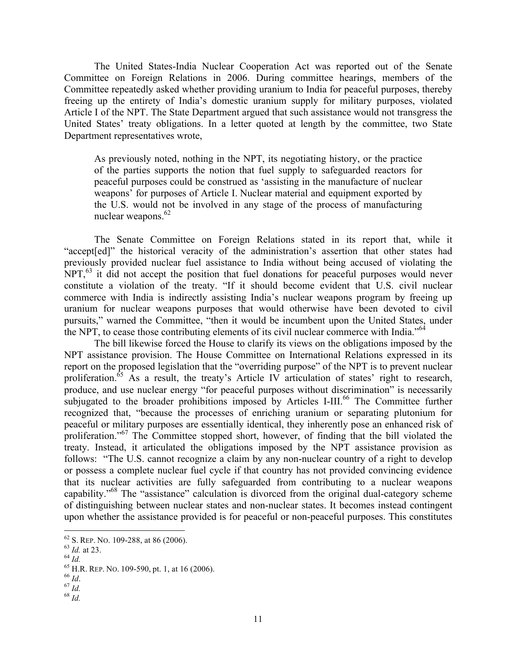The United States-India Nuclear Cooperation Act was reported out of the Senate Committee on Foreign Relations in 2006. During committee hearings, members of the Committee repeatedly asked whether providing uranium to India for peaceful purposes, thereby freeing up the entirety of India's domestic uranium supply for military purposes, violated Article I of the NPT. The State Department argued that such assistance would not transgress the United States' treaty obligations. In a letter quoted at length by the committee, two State Department representatives wrote,

As previously noted, nothing in the NPT, its negotiating history, or the practice of the parties supports the notion that fuel supply to safeguarded reactors for peaceful purposes could be construed as 'assisting in the manufacture of nuclear weapons' for purposes of Article I. Nuclear material and equipment exported by the U.S. would not be involved in any stage of the process of manufacturing nuclear weapons. $62$ 

The Senate Committee on Foreign Relations stated in its report that, while it "accept[ed]" the historical veracity of the administration's assertion that other states had previously provided nuclear fuel assistance to India without being accused of violating the  $NPT<sub>1</sub>$ <sup>63</sup> it did not accept the position that fuel donations for peaceful purposes would never constitute a violation of the treaty. "If it should become evident that U.S. civil nuclear commerce with India is indirectly assisting India's nuclear weapons program by freeing up uranium for nuclear weapons purposes that would otherwise have been devoted to civil pursuits," warned the Committee, "then it would be incumbent upon the United States, under the NPT, to cease those contributing elements of its civil nuclear commerce with India."<sup>64</sup>

The bill likewise forced the House to clarify its views on the obligations imposed by the NPT assistance provision. The House Committee on International Relations expressed in its report on the proposed legislation that the "overriding purpose" of the NPT is to prevent nuclear proliferation.<sup>65</sup> As a result, the treaty's Article IV articulation of states' right to research, produce, and use nuclear energy "for peaceful purposes without discrimination" is necessarily subjugated to the broader prohibitions imposed by Articles I-III.<sup>66</sup> The Committee further recognized that, "because the processes of enriching uranium or separating plutonium for peaceful or military purposes are essentially identical, they inherently pose an enhanced risk of proliferation."<sup>67</sup> The Committee stopped short, however, of finding that the bill violated the treaty. Instead, it articulated the obligations imposed by the NPT assistance provision as follows: "The U.S. cannot recognize a claim by any non-nuclear country of a right to develop or possess a complete nuclear fuel cycle if that country has not provided convincing evidence that its nuclear activities are fully safeguarded from contributing to a nuclear weapons capability."<sup>68</sup> The "assistance" calculation is divorced from the original dual-category scheme of distinguishing between nuclear states and non-nuclear states. It becomes instead contingent upon whether the assistance provided is for peaceful or non-peaceful purposes. This constitutes

<sup>62</sup> S. REP. NO. 109-288, at 86 (2006).<br>
63 *Id.* at 23.<br>
64 *Id.*<br>
65 H.R. REP. NO. 109-590, pt. 1, at 16 (2006).<br>
66 *Id.*<br>
67 *Id.*<br>
68 *Id*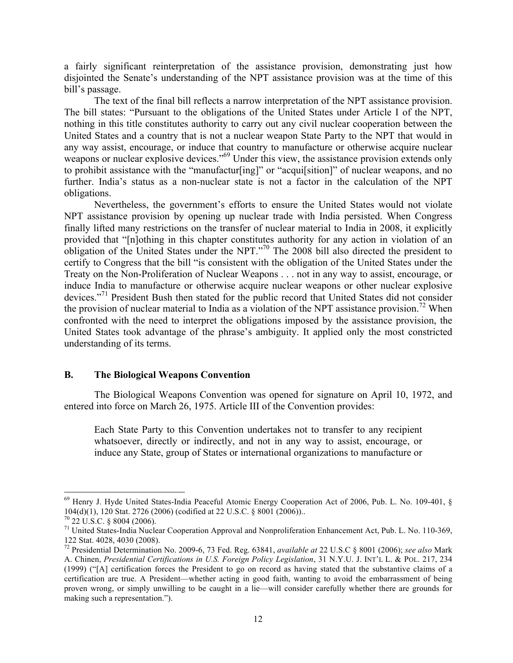a fairly significant reinterpretation of the assistance provision, demonstrating just how disjointed the Senate's understanding of the NPT assistance provision was at the time of this bill's passage.

The text of the final bill reflects a narrow interpretation of the NPT assistance provision. The bill states: "Pursuant to the obligations of the United States under Article I of the NPT, nothing in this title constitutes authority to carry out any civil nuclear cooperation between the United States and a country that is not a nuclear weapon State Party to the NPT that would in any way assist, encourage, or induce that country to manufacture or otherwise acquire nuclear weapons or nuclear explosive devices."<sup>69</sup> Under this view, the assistance provision extends only to prohibit assistance with the "manufactur[ing]" or "acqui[sition]" of nuclear weapons, and no further. India's status as a non-nuclear state is not a factor in the calculation of the NPT obligations.

Nevertheless, the government's efforts to ensure the United States would not violate NPT assistance provision by opening up nuclear trade with India persisted. When Congress finally lifted many restrictions on the transfer of nuclear material to India in 2008, it explicitly provided that "[n]othing in this chapter constitutes authority for any action in violation of an obligation of the United States under the NPT."70 The 2008 bill also directed the president to certify to Congress that the bill "is consistent with the obligation of the United States under the Treaty on the Non-Proliferation of Nuclear Weapons . . . not in any way to assist, encourage, or induce India to manufacture or otherwise acquire nuclear weapons or other nuclear explosive devices."<sup>71</sup> President Bush then stated for the public record that United States did not consider the provision of nuclear material to India as a violation of the NPT assistance provision.<sup>72</sup> When confronted with the need to interpret the obligations imposed by the assistance provision, the United States took advantage of the phrase's ambiguity. It applied only the most constricted understanding of its terms.

### **B. The Biological Weapons Convention**

The Biological Weapons Convention was opened for signature on April 10, 1972, and entered into force on March 26, 1975. Article III of the Convention provides:

Each State Party to this Convention undertakes not to transfer to any recipient whatsoever, directly or indirectly, and not in any way to assist, encourage, or induce any State, group of States or international organizations to manufacture or

 <sup>69</sup> Henry J. Hyde United States-India Peaceful Atomic Energy Cooperation Act of 2006, Pub. L. No. 109-401, § 104(d)(1), 120 Stat. 2726 (2006) (codified at 22 U.S.C. § 8001 (2006)).. <sup>70</sup> 22 U.S.C. § 8004 (2006).

<sup>&</sup>lt;sup>71</sup> United States-India Nuclear Cooperation Approval and Nonproliferation Enhancement Act, Pub. L. No. 110-369, 122 Stat. 4028, 4030 (2008).

<sup>122</sup> Stat. 4028, 4030 (2008). 72 Presidential Determination No. 2009-6, 73 Fed. Reg. 63841, *available at* 22 U.S.C § 8001 (2006); *see also* Mark A. Chinen, *Presidential Certifications in U.S. Foreign Policy Legislation*, 31 N.Y.U. J. INT'L L. & POL. 217, 234 (1999) ("[A] certification forces the President to go on record as having stated that the substantive claims of a certification are true. A President—whether acting in good faith, wanting to avoid the embarrassment of being proven wrong, or simply unwilling to be caught in a lie—will consider carefully whether there are grounds for making such a representation.").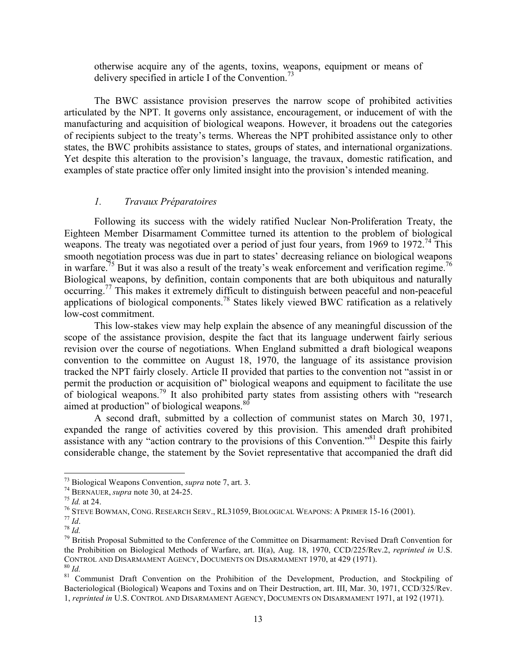otherwise acquire any of the agents, toxins, weapons, equipment or means of delivery specified in article I of the Convention.<sup>73</sup>

The BWC assistance provision preserves the narrow scope of prohibited activities articulated by the NPT. It governs only assistance, encouragement, or inducement of with the manufacturing and acquisition of biological weapons. However, it broadens out the categories of recipients subject to the treaty's terms. Whereas the NPT prohibited assistance only to other states, the BWC prohibits assistance to states, groups of states, and international organizations. Yet despite this alteration to the provision's language, the travaux, domestic ratification, and examples of state practice offer only limited insight into the provision's intended meaning.

#### *1. Travaux Préparatoires*

Following its success with the widely ratified Nuclear Non-Proliferation Treaty, the Eighteen Member Disarmament Committee turned its attention to the problem of biological weapons. The treaty was negotiated over a period of just four years, from 1969 to 1972.<sup>74</sup> This smooth negotiation process was due in part to states' decreasing reliance on biological weapons in warfare.<sup>75</sup> But it was also a result of the treaty's weak enforcement and verification regime.<sup>76</sup> Biological weapons, by definition, contain components that are both ubiquitous and naturally occurring.77 This makes it extremely difficult to distinguish between peaceful and non-peaceful applications of biological components.78 States likely viewed BWC ratification as a relatively low-cost commitment.

This low-stakes view may help explain the absence of any meaningful discussion of the scope of the assistance provision, despite the fact that its language underwent fairly serious revision over the course of negotiations. When England submitted a draft biological weapons convention to the committee on August 18, 1970, the language of its assistance provision tracked the NPT fairly closely. Article II provided that parties to the convention not "assist in or permit the production or acquisition of" biological weapons and equipment to facilitate the use of biological weapons.<sup>79</sup> It also prohibited party states from assisting others with "research" aimed at production" of biological weapons.<sup>80</sup>

A second draft, submitted by a collection of communist states on March 30, 1971, expanded the range of activities covered by this provision. This amended draft prohibited assistance with any "action contrary to the provisions of this Convention."<sup>81</sup> Despite this fairly considerable change, the statement by the Soviet representative that accompanied the draft did

<sup>&</sup>lt;sup>73</sup> Biological Weapons Convention, *supra* note 7, art. 3.<br><sup>74</sup> BERNAUER, *supra* note 30, at 24-25.<br><sup>75</sup> Id. at 24.<br><sup>76</sup> STEVE BOWMAN, CONG. RESEARCH SERV., RL31059, BIOLOGICAL WEAPONS: A PRIMER 15-16 (2001).<br><sup>77</sup> Id.<br><sup></sup> the Prohibition on Biological Methods of Warfare, art. II(a), Aug. 18, 1970, CCD/225/Rev.2, *reprinted in* U.S. CONTROL AND DISARMAMENT AGENCY, DOCUMENTS ON DISARMAMENT 1970, at 429 (1971).<br><sup>80</sup> *Id.* Communist Draft Convention on the Prohibition of the Development, Production, and Stockpiling of

Bacteriological (Biological) Weapons and Toxins and on Their Destruction, art. III, Mar. 30, 1971, CCD/325/Rev. 1, *reprinted in* U.S. CONTROL AND DISARMAMENT AGENCY, DOCUMENTS ON DISARMAMENT 1971, at 192 (1971).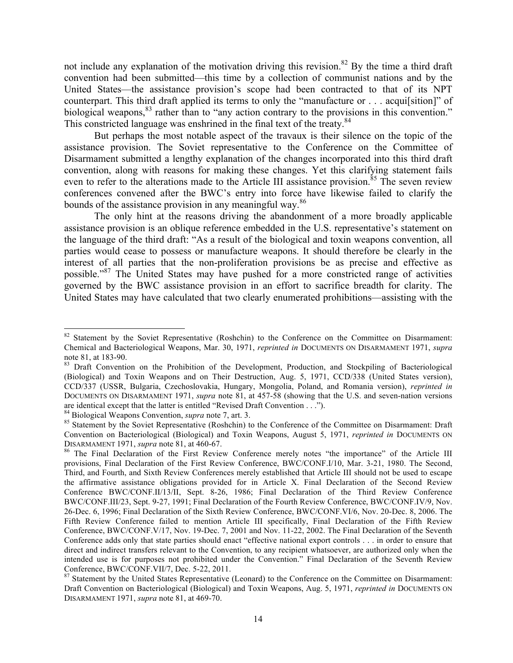not include any explanation of the motivation driving this revision.<sup>82</sup> By the time a third draft convention had been submitted—this time by a collection of communist nations and by the United States—the assistance provision's scope had been contracted to that of its NPT counterpart. This third draft applied its terms to only the "manufacture or . . . acqui[sition]" of biological weapons,<sup>83</sup> rather than to "any action contrary to the provisions in this convention." This constricted language was enshrined in the final text of the treaty.<sup>84</sup>

But perhaps the most notable aspect of the travaux is their silence on the topic of the assistance provision. The Soviet representative to the Conference on the Committee of Disarmament submitted a lengthy explanation of the changes incorporated into this third draft convention, along with reasons for making these changes. Yet this clarifying statement fails even to refer to the alterations made to the Article III assistance provision.<sup>85</sup> The seven review conferences convened after the BWC's entry into force have likewise failed to clarify the bounds of the assistance provision in any meaningful way.<sup>86</sup>

The only hint at the reasons driving the abandonment of a more broadly applicable assistance provision is an oblique reference embedded in the U.S. representative's statement on the language of the third draft: "As a result of the biological and toxin weapons convention, all parties would cease to possess or manufacture weapons. It should therefore be clearly in the interest of all parties that the non-proliferation provisions be as precise and effective as possible."<sup>87</sup> The United States may have pushed for a more constricted range of activities governed by the BWC assistance provision in an effort to sacrifice breadth for clarity. The United States may have calculated that two clearly enumerated prohibitions—assisting with the

<sup>&</sup>lt;sup>82</sup> Statement by the Soviet Representative (Roshchin) to the Conference on the Committee on Disarmament: Chemical and Bacteriological Weapons, Mar. 30, 1971, *reprinted in* DOCUMENTS ON DISARMAMENT 1971, *supra* 

<sup>&</sup>lt;sup>83</sup> Draft Convention on the Prohibition of the Development, Production, and Stockpiling of Bacteriological (Biological) and Toxin Weapons and on Their Destruction, Aug. 5, 1971, CCD/338 (United States version), CCD/337 (USSR, Bulgaria, Czechoslovakia, Hungary, Mongolia, Poland, and Romania version), *reprinted in*  DOCUMENTS ON DISARMAMENT 1971, *supra* note 81, at 457-58 (showing that the U.S. and seven-nation versions are identical except that the latter is entitled "Revised Draft Convention . . .").<br><sup>84</sup> Biological Weapons Convention, *supra* note 7, art. 3.

<sup>&</sup>lt;sup>85</sup> Statement by the Soviet Representative (Roshchin) to the Conference of the Committee on Disarmament: Draft Convention on Bacteriological (Biological) and Toxin Weapons, August 5, 1971, *reprinted in* DOCUMENTS ON

<sup>&</sup>lt;sup>86</sup> The Final Declaration of the First Review Conference merely notes "the importance" of the Article III provisions, Final Declaration of the First Review Conference, BWC/CONF.I/10, Mar. 3-21, 1980. The Second, Third, and Fourth, and Sixth Review Conferences merely established that Article III should not be used to escape the affirmative assistance obligations provided for in Article X. Final Declaration of the Second Review Conference BWC/CONF.II/13/II, Sept. 8-26, 1986; Final Declaration of the Third Review Conference BWC/CONF.III/23, Sept. 9-27, 1991; Final Declaration of the Fourth Review Conference, BWC/CONF.IV/9, Nov. 26-Dec. 6, 1996; Final Declaration of the Sixth Review Conference, BWC/CONF.VI/6, Nov. 20-Dec. 8, 2006. The Fifth Review Conference failed to mention Article III specifically, Final Declaration of the Fifth Review Conference, BWC/CONF.V/17, Nov. 19-Dec. 7, 2001 and Nov. 11-22, 2002. The Final Declaration of the Seventh Conference adds only that state parties should enact "effective national export controls . . . in order to ensure that direct and indirect transfers relevant to the Convention, to any recipient whatsoever, are authorized only when the intended use is for purposes not prohibited under the Convention." Final Declaration of the Seventh Review Conference, BWC/CONF.VII/7, Dec. 5-22, 2011.<br><sup>87</sup> Statement by the United States Representative (Leonard) to the Conference on the Committee on Disarmament:

Draft Convention on Bacteriological (Biological) and Toxin Weapons, Aug. 5, 1971, *reprinted in* DOCUMENTS ON DISARMAMENT 1971, *supra* note 81, at 469-70.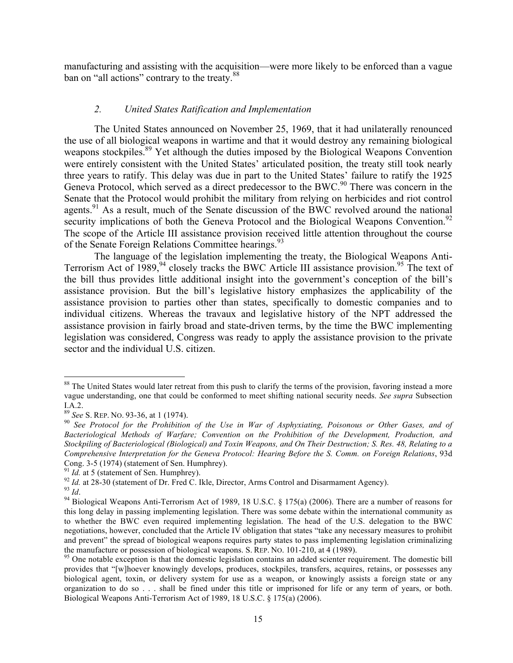manufacturing and assisting with the acquisition—were more likely to be enforced than a vague ban on "all actions" contrary to the treaty.<sup>88</sup>

#### *2. United States Ratification and Implementation*

The United States announced on November 25, 1969, that it had unilaterally renounced the use of all biological weapons in wartime and that it would destroy any remaining biological weapons stockpiles.<sup>89</sup> Yet although the duties imposed by the Biological Weapons Convention were entirely consistent with the United States' articulated position, the treaty still took nearly three years to ratify. This delay was due in part to the United States' failure to ratify the 1925 Geneva Protocol, which served as a direct predecessor to the BWC.<sup>90</sup> There was concern in the Senate that the Protocol would prohibit the military from relying on herbicides and riot control agents.<sup>91</sup> As a result, much of the Senate discussion of the BWC revolved around the national security implications of both the Geneva Protocol and the Biological Weapons Convention.<sup>92</sup> The scope of the Article III assistance provision received little attention throughout the course of the Senate Foreign Relations Committee hearings.<sup>93</sup>

The language of the legislation implementing the treaty, the Biological Weapons Anti-Terrorism Act of 1989,<sup>94</sup> closely tracks the BWC Article III assistance provision.<sup>95</sup> The text of the bill thus provides little additional insight into the government's conception of the bill's assistance provision. But the bill's legislative history emphasizes the applicability of the assistance provision to parties other than states, specifically to domestic companies and to individual citizens. Whereas the travaux and legislative history of the NPT addressed the assistance provision in fairly broad and state-driven terms, by the time the BWC implementing legislation was considered, Congress was ready to apply the assistance provision to the private sector and the individual U.S. citizen.

<sup>&</sup>lt;sup>88</sup> The United States would later retreat from this push to clarify the terms of the provision, favoring instead a more vague understanding, one that could be conformed to meet shifting national security needs. *See supra* Subsection I.A.2.<br><sup>89</sup> See S. REP. No. 93-36, at 1 (1974).

<sup>&</sup>lt;sup>90</sup> See Protocol for the Prohibition of the Use in War of Asphyxiating, Poisonous or Other Gases, and of *Bacteriological Methods of Warfare; Convention on the Prohibition of the Development, Production, and Stockpiling of Bacteriological (Biological) and Toxin Weapons, and On Their Destruction; S. Res. 48, Relating to a Comprehensive Interpretation for the Geneva Protocol: Hearing Before the S. Comm. on Foreign Relations*, 93d

<sup>&</sup>lt;sup>91</sup> *Id.* at 5 (statement of Sen. Humphrey).<br><sup>92</sup> *Id.* at 28-30 (statement of Dr. Fred C. Ikle, Director, Arms Control and Disarmament Agency).<br><sup>92</sup> *Id.*<br><sup>94</sup> Biological Weapons Anti-Terrorism Act of 1989, 18 U.S.C. § this long delay in passing implementing legislation. There was some debate within the international community as to whether the BWC even required implementing legislation. The head of the U.S. delegation to the BWC negotiations, however, concluded that the Article IV obligation that states "take any necessary measures to prohibit and prevent" the spread of biological weapons requires party states to pass implementing legislation criminalizing the manufacture or possession of biological weapons. S. REP. NO. 101-210, at 4 (1989).<br><sup>95</sup> One notable exception is that the domestic legislation contains an added scienter requirement. The domestic bill

provides that "[w]hoever knowingly develops, produces, stockpiles, transfers, acquires, retains, or possesses any biological agent, toxin, or delivery system for use as a weapon, or knowingly assists a foreign state or any organization to do so . . . shall be fined under this title or imprisoned for life or any term of years, or both. Biological Weapons Anti-Terrorism Act of 1989, 18 U.S.C. § 175(a) (2006).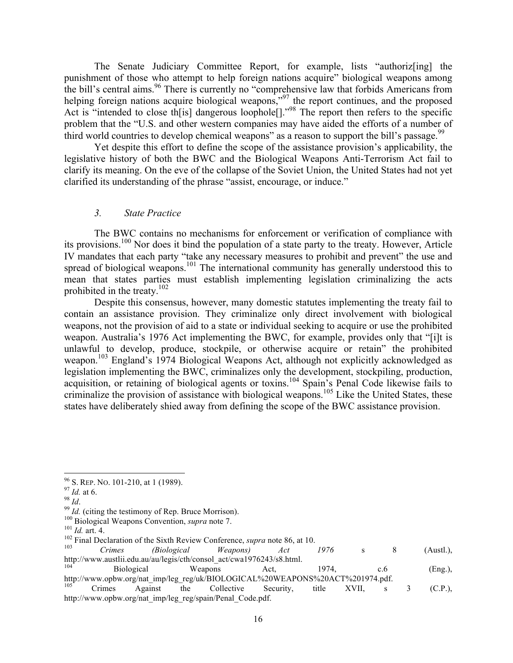The Senate Judiciary Committee Report, for example, lists "authoriz[ing] the punishment of those who attempt to help foreign nations acquire" biological weapons among the bill's central aims.<sup>96</sup> There is currently no "comprehensive law that forbids Americans from helping foreign nations acquire biological weapons,"<sup>97</sup> the report continues, and the proposed Act is "intended to close th<sup>[is]</sup> dangerous loophole<sup>[]</sup>.<sup>"98</sup> The report then refers to the specific problem that the "U.S. and other western companies may have aided the efforts of a number of third world countries to develop chemical weapons" as a reason to support the bill's passage.<sup>99</sup>

Yet despite this effort to define the scope of the assistance provision's applicability, the legislative history of both the BWC and the Biological Weapons Anti-Terrorism Act fail to clarify its meaning. On the eve of the collapse of the Soviet Union, the United States had not yet clarified its understanding of the phrase "assist, encourage, or induce."

#### *3. State Practice*

The BWC contains no mechanisms for enforcement or verification of compliance with its provisions.<sup>100</sup> Nor does it bind the population of a state party to the treaty. However, Article IV mandates that each party "take any necessary measures to prohibit and prevent" the use and spread of biological weapons.<sup>101</sup> The international community has generally understood this to mean that states parties must establish implementing legislation criminalizing the acts prohibited in the treaty.102

Despite this consensus, however, many domestic statutes implementing the treaty fail to contain an assistance provision. They criminalize only direct involvement with biological weapons, not the provision of aid to a state or individual seeking to acquire or use the prohibited weapon. Australia's 1976 Act implementing the BWC, for example, provides only that "[i]t is unlawful to develop, produce, stockpile, or otherwise acquire or retain" the prohibited weapon.<sup>103</sup> England's 1974 Biological Weapons Act, although not explicitly acknowledged as legislation implementing the BWC, criminalizes only the development, stockpiling, production, acquisition, or retaining of biological agents or toxins.<sup>104</sup> Spain's Penal Code likewise fails to criminalize the provision of assistance with biological weapons.<sup>105</sup> Like the United States, these states have deliberately shied away from defining the scope of the BWC assistance provision.

<sup>&</sup>lt;sup>96</sup> S. REP. NO. 101-210, at 1 (1989).<br><sup>97</sup> *Id.* at 6.<br><sup>98</sup> *Id.*<br><sup>99</sup> *Id.* (citing the testimony of Rep. Bruce Morrison).<br><sup>109</sup> Biological Weapons Convention, *supra* note 7.<br><sup>101</sup> *Id.* art. 4.<br><sup>102</sup> Final Declaration http://www.austlii.edu.au/au/legis/cth/consol\_act/cwa1976243/s8.html.<br>
Biological Weapons Act, 1974, c.6 (Eng.), http://www.opbw.org/nat\_imp/leg\_reg/uk/BIOLOGICAL%20WEAPONS%20ACT%201974.pdf.  $^{105}$  Crimes Against the Collective Security, title XVII, s 3 (C.P.),

http://www.opbw.org/nat\_imp/leg\_reg/spain/Penal\_Code.pdf.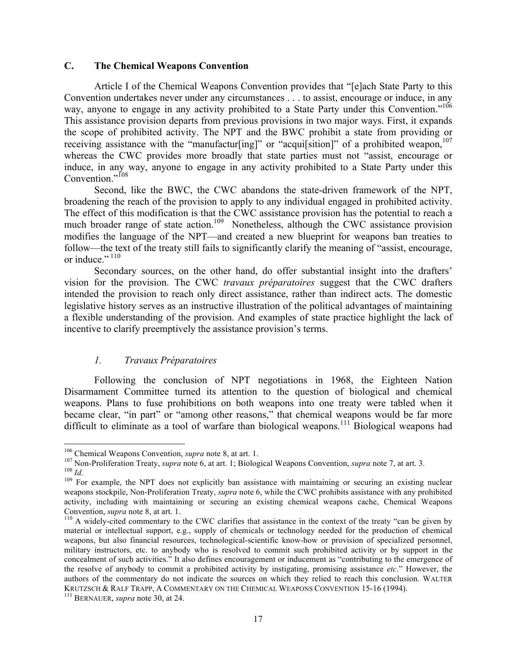### **C. The Chemical Weapons Convention**

Article I of the Chemical Weapons Convention provides that "[e]ach State Party to this Convention undertakes never under any circumstances . . . to assist, encourage or induce, in any way, anyone to engage in any activity prohibited to a State Party under this Convention."<sup>106</sup> This assistance provision departs from previous provisions in two major ways. First, it expands the scope of prohibited activity. The NPT and the BWC prohibit a state from providing or receiving assistance with the "manufactur[ing]" or "acqui[sition]" of a prohibited weapon, $107$ whereas the CWC provides more broadly that state parties must not "assist, encourage or induce, in any way, anyone to engage in any activity prohibited to a State Party under this Convention."<sup>108</sup>

Second, like the BWC, the CWC abandons the state-driven framework of the NPT, broadening the reach of the provision to apply to any individual engaged in prohibited activity. The effect of this modification is that the CWC assistance provision has the potential to reach a much broader range of state action.<sup>109</sup> Nonetheless, although the CWC assistance provision modifies the language of the NPT—and created a new blueprint for weapons ban treaties to follow—the text of the treaty still fails to significantly clarify the meaning of "assist, encourage, or induce."<sup>110</sup>

Secondary sources, on the other hand, do offer substantial insight into the drafters' vision for the provision. The CWC *travaux préparatoires* suggest that the CWC drafters intended the provision to reach only direct assistance, rather than indirect acts. The domestic legislative history serves as an instructive illustration of the political advantages of maintaining a flexible understanding of the provision. And examples of state practice highlight the lack of incentive to clarify preemptively the assistance provision's terms.

## *1. Travaux Préparatoires*

Following the conclusion of NPT negotiations in 1968, the Eighteen Nation Disarmament Committee turned its attention to the question of biological and chemical weapons. Plans to fuse prohibitions on both weapons into one treaty were tabled when it became clear, "in part" or "among other reasons," that chemical weapons would be far more difficult to eliminate as a tool of warfare than biological weapons.<sup>111</sup> Biological weapons had

<sup>&</sup>lt;sup>106</sup> Chemical Weapons Convention, *supra* note 8, at art. 1.<br><sup>107</sup> Non-Proliferation Treaty, *supra* note 6, at art. 1; Biological Weapons Convention, *supra* note 7, at art. 3.<br><sup>108</sup> Id.<br><sup>109</sup> For example, the NPT does

weapons stockpile, Non-Proliferation Treaty, *supra* note 6, while the CWC prohibits assistance with any prohibited activity, including with maintaining or securing an existing chemical weapons cache, Chemical Weapons Convention, *supra* note 8, at art. 1.<br><sup>110</sup> A widely-cited commentary to the CWC clarifies that assistance in the context of the treaty "can be given by

material or intellectual support, e.g., supply of chemicals or technology needed for the production of chemical weapons, but also financial resources, technological-scientific know-how or provision of specialized personnel, military instructors, etc. to anybody who is resolved to commit such prohibited activity or by support in the concealment of such activities." It also defines encouragement or inducement as "contributing to the emergence of the resolve of anybody to commit a prohibited activity by instigating, promising assistance *etc*." However, the authors of the commentary do not indicate the sources on which they relied to reach this conclusion. WALTER KRUTZSCH & RALF TRAPP, A COMMENTARY ON THE CHEMICAL WEAPONS CONVENTION 15-16 (1994).<br><sup>111</sup> BERNAUER, *supra* note 30, at 24.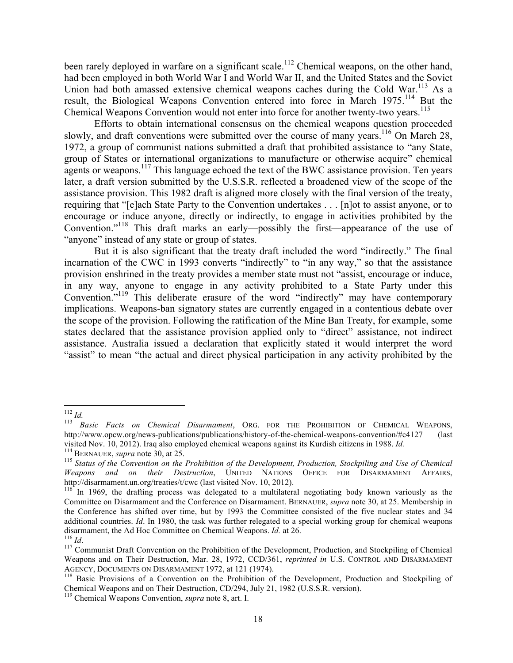been rarely deployed in warfare on a significant scale.<sup>112</sup> Chemical weapons, on the other hand, had been employed in both World War I and World War II, and the United States and the Soviet Union had both amassed extensive chemical weapons caches during the Cold War.<sup>113</sup> As a result, the Biological Weapons Convention entered into force in March 1975.<sup>114</sup> But the Chemical Weapons Convention would not enter into force for another twenty-two years.<sup>115</sup>

Efforts to obtain international consensus on the chemical weapons question proceeded slowly, and draft conventions were submitted over the course of many years.<sup>116</sup> On March 28, 1972, a group of communist nations submitted a draft that prohibited assistance to "any State, group of States or international organizations to manufacture or otherwise acquire" chemical agents or weapons.<sup>117</sup> This language echoed the text of the BWC assistance provision. Ten years later, a draft version submitted by the U.S.S.R. reflected a broadened view of the scope of the assistance provision. This 1982 draft is aligned more closely with the final version of the treaty, requiring that "[e]ach State Party to the Convention undertakes . . . [n]ot to assist anyone, or to encourage or induce anyone, directly or indirectly, to engage in activities prohibited by the Convention."118 This draft marks an early—possibly the first—appearance of the use of "anyone" instead of any state or group of states.

But it is also significant that the treaty draft included the word "indirectly." The final incarnation of the CWC in 1993 converts "indirectly" to "in any way," so that the assistance provision enshrined in the treaty provides a member state must not "assist, encourage or induce, in any way, anyone to engage in any activity prohibited to a State Party under this Convention."119 This deliberate erasure of the word "indirectly" may have contemporary implications. Weapons-ban signatory states are currently engaged in a contentious debate over the scope of the provision. Following the ratification of the Mine Ban Treaty, for example, some states declared that the assistance provision applied only to "direct" assistance, not indirect assistance. Australia issued a declaration that explicitly stated it would interpret the word "assist" to mean "the actual and direct physical participation in any activity prohibited by the

<sup>112</sup> *Id.* <sup>113</sup> *Basic Facts on Chemical Disarmament*, ORG. FOR THE PROHIBITION OF CHEMICAL WEAPONS, http://www.opcw.org/news-publications/publications/history-of-the-chemical-weapons-convention/#c4127 (last visited Nov. 10, 2012). Iraq also employed chemical weapons against its Kurdish citizens in 1988. *Id.* 

<sup>&</sup>lt;sup>114</sup> BERNAUER, supra note  $30$ , at  $25$ .<br><sup>115</sup> Status of the Convention on the Prohibition of the Development, Production, Stockpiling and Use of Chemical *Weapons and on their Destruction*, UNITED NATIONS OFFICE FOR DISARMAMENT AFFAIRS, http://disarmament.un.org/treaties/t/cwc (last visited Nov. 10, 2012).

<sup>&</sup>lt;sup>116</sup> In 1969, the drafting process was delegated to a multilateral negotiating body known variously as the Committee on Disarmament and the Conference on Disarmament. BERNAUER, *supra* note 30, at 25. Membership in the Conference has shifted over time, but by 1993 the Committee consisted of the five nuclear states and 34 additional countries. *Id*. In 1980, the task was further relegated to a special working group for chemical weapons disarmament, the Ad Hoc Committee on Chemical Weapons. *Id.* at 26. <sup>116</sup> *Id.* 117 Communist Draft Convention on the Prohibition of the Development, Production, and Stockpiling of Chemical <sup>117</sup>

Weapons and on Their Destruction, Mar. 28, 1972, CCD/361, *reprinted in* U.S. CONTROL AND DISARMAMENT AGENCY, DOCUMENTS ON DISARMAMENT 1972, at 121 (1974).<br><sup>118</sup> Basic Provisions of a Convention on the Prohibition of the Development, Production and Stockpiling of

Chemical Weapons and on Their Destruction, CD/294, July 21, 1982 (U.S.S.R. version). 119 Chemical Weapons Convention, *supra* note 8, art. I.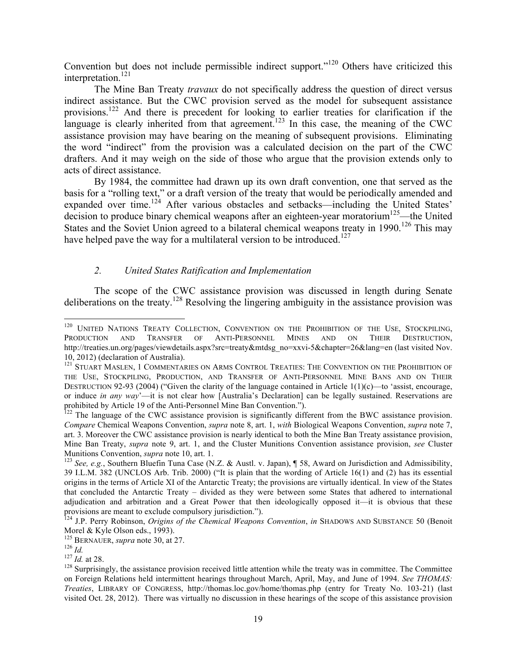Convention but does not include permissible indirect support."<sup>120</sup> Others have criticized this interpretation.<sup>121</sup>

The Mine Ban Treaty *travaux* do not specifically address the question of direct versus indirect assistance. But the CWC provision served as the model for subsequent assistance provisions.<sup>122</sup> And there is precedent for looking to earlier treaties for clarification if the language is clearly inherited from that agreement.<sup>123</sup> In this case, the meaning of the CWC assistance provision may have bearing on the meaning of subsequent provisions. Eliminating the word "indirect" from the provision was a calculated decision on the part of the CWC drafters. And it may weigh on the side of those who argue that the provision extends only to acts of direct assistance.

By 1984, the committee had drawn up its own draft convention, one that served as the basis for a "rolling text," or a draft version of the treaty that would be periodically amended and expanded over time.<sup>124</sup> After various obstacles and setbacks—including the United States' decision to produce binary chemical weapons after an eighteen-year moratorium<sup>125</sup>—the United States and the Soviet Union agreed to a bilateral chemical weapons treaty in 1990.<sup>126</sup> This may have helped pave the way for a multilateral version to be introduced.<sup>127</sup>

# *2. United States Ratification and Implementation*

The scope of the CWC assistance provision was discussed in length during Senate deliberations on the treaty.<sup>128</sup> Resolving the lingering ambiguity in the assistance provision was

<sup>&</sup>lt;sup>120</sup> UNITED NATIONS TREATY COLLECTION, CONVENTION ON THE PROHIBITION OF THE USE, STOCKPILING, PRODUCTION AND TRANSFER OF ANTI-PERSONNEL MINES AND ON THEIR DESTRUCTION, http://treaties.un.org/pages/viewdetails.aspx?src=treaty&mtdsg\_no=xxvi-5&chapter=26&lang=en (last visited Nov. 10, 2012) (declaration of Australia).<br><sup>121</sup> STUART MASLEN, 1 COMMENTARIES ON ARMS CONTROL TREATIES: THE CONVENTION ON THE PROHIBITION OF

THE USE, STOCKPILING, PRODUCTION, AND TRANSFER OF ANTI-PERSONNEL MINE BANS AND ON THEIR DESTRUCTION 92-93 (2004) ("Given the clarity of the language contained in Article  $1(1)(c)$ —to 'assist, encourage, or induce *in any way*'—it is not clear how [Australia's Declaration] can be legally sustained. Reservations are prohibited by Article 19 of the Anti-Personnel Mine Ban Convention.").

 $p_{122}$  The language of the CWC assistance provision is significantly different from the BWC assistance provision. *Compare* Chemical Weapons Convention, *supra* note 8, art. 1, *with* Biological Weapons Convention, *supra* note 7, art. 3. Moreover the CWC assistance provision is nearly identical to both the Mine Ban Treaty assistance provision, Mine Ban Treaty, *supra* note 9, art. 1, and the Cluster Munitions Convention assistance provision, *see* Cluster Munitions Convention, *supra* note 10, art. 1.<br><sup>123</sup> *See, e.g.*, Southern Bluefin Tuna Case (N.Z. & Austl. v. Japan), ¶ 58, Award on Jurisdiction and Admissibility,

<sup>39</sup> I.L.M. 382 (UNCLOS Arb. Trib. 2000) ("It is plain that the wording of Article 16(1) and (2) has its essential origins in the terms of Article XI of the Antarctic Treaty; the provisions are virtually identical. In view of the States that concluded the Antarctic Treaty – divided as they were between some States that adhered to international adjudication and arbitration and a Great Power that then ideologically opposed it—it is obvious that these provisions are meant to exclude compulsory jurisdiction.").

<sup>124</sup> J.P. Perry Robinson, *Origins of the Chemical Weapons Convention*, *in* SHADOWS AND SUBSTANCE 50 (Benoit Morel & Kyle Olson eds., 1993).<br>
<sup>125</sup> BERNAUER, *supra* note 30, at 27.<br>
<sup>126</sup> *Id.*<br>
<sup>127</sup> *Id.* at 28.<br>
<sup>128</sup> Surprisingly, the assistance provision received little attention while the treaty was in committee. The Comm

on Foreign Relations held intermittent hearings throughout March, April, May, and June of 1994. *See THOMAS: Treaties*, LIBRARY OF CONGRESS, http://thomas.loc.gov/home/thomas.php (entry for Treaty No. 103-21) (last visited Oct. 28, 2012). There was virtually no discussion in these hearings of the scope of this assistance provision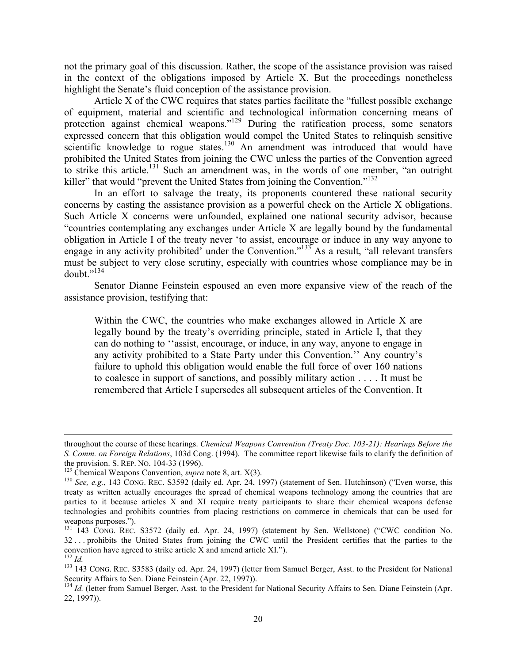not the primary goal of this discussion. Rather, the scope of the assistance provision was raised in the context of the obligations imposed by Article X. But the proceedings nonetheless highlight the Senate's fluid conception of the assistance provision.

Article X of the CWC requires that states parties facilitate the "fullest possible exchange of equipment, material and scientific and technological information concerning means of protection against chemical weapons."<sup>129</sup> During the ratification process, some senators expressed concern that this obligation would compel the United States to relinquish sensitive scientific knowledge to rogue states.<sup>130</sup> An amendment was introduced that would have prohibited the United States from joining the CWC unless the parties of the Convention agreed to strike this article.<sup>131</sup> Such an amendment was, in the words of one member, "an outright killer" that would "prevent the United States from joining the Convention."<sup>132</sup>

In an effort to salvage the treaty, its proponents countered these national security concerns by casting the assistance provision as a powerful check on the Article X obligations. Such Article X concerns were unfounded, explained one national security advisor, because "countries contemplating any exchanges under Article X are legally bound by the fundamental obligation in Article I of the treaty never 'to assist, encourage or induce in any way anyone to engage in any activity prohibited' under the Convention."<sup>133</sup> As a result, "all relevant transfers" must be subject to very close scrutiny, especially with countries whose compliance may be in doubt $^{134}$ 

Senator Dianne Feinstein espoused an even more expansive view of the reach of the assistance provision, testifying that:

Within the CWC, the countries who make exchanges allowed in Article X are legally bound by the treaty's overriding principle, stated in Article I, that they can do nothing to ''assist, encourage, or induce, in any way, anyone to engage in any activity prohibited to a State Party under this Convention.'' Any country's failure to uphold this obligation would enable the full force of over 160 nations to coalesce in support of sanctions, and possibly military action . . . . It must be remembered that Article I supersedes all subsequent articles of the Convention. It

throughout the course of these hearings. *Chemical Weapons Convention (Treaty Doc. 103-21): Hearings Before the S. Comm. on Foreign Relations*, 103d Cong. (1994). The committee report likewise fails to clarify the definition of the provision. S. REP. NO. 104-33 (1996).<br><sup>129</sup> Chemical Weapons Convention, *supra* note 8, art. X(3).<br><sup>130</sup> See, e.g., 143 CONG. REC. S3592 (daily ed. Apr. 24, 1997) (statement of Sen. Hutchinson) ("Even worse, this

treaty as written actually encourages the spread of chemical weapons technology among the countries that are parties to it because articles X and XI require treaty participants to share their chemical weapons defense technologies and prohibits countries from placing restrictions on commerce in chemicals that can be used for weapons purposes.").<br><sup>131</sup> 143 CONG. REC. S3572 (daily ed. Apr. 24, 1997) (statement by Sen. Wellstone) ("CWC condition No.

<sup>32</sup> . . . prohibits the United States from joining the CWC until the President certifies that the parties to the convention have agreed to strike article X and amend article XI.").<br><sup>132</sup> *Id.* 133 143 CONG. REC. S3583 (daily ed. Apr. 24, 1997) (letter from Samuel Berger, Asst. to the President for National

Security Affairs to Sen. Diane Feinstein (Apr. 22, 1997)).

<sup>&</sup>lt;sup>134</sup> *Id.* (letter from Samuel Berger, Asst. to the President for National Security Affairs to Sen. Diane Feinstein (Apr. 22, 1997)).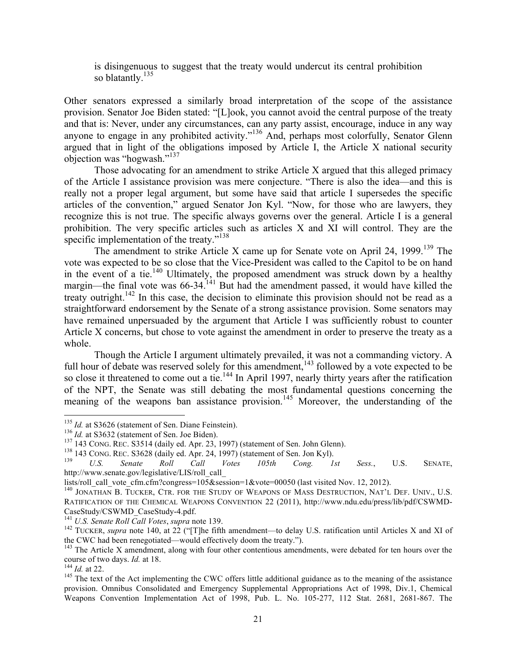is disingenuous to suggest that the treaty would undercut its central prohibition so blatantly. $^{135}$ 

Other senators expressed a similarly broad interpretation of the scope of the assistance provision. Senator Joe Biden stated: "[L]ook, you cannot avoid the central purpose of the treaty and that is: Never, under any circumstances, can any party assist, encourage, induce in any way anyone to engage in any prohibited activity."<sup>136</sup> And, perhaps most colorfully, Senator Glenn argued that in light of the obligations imposed by Article I, the Article X national security objection was "hogwash."<sup>137</sup>

Those advocating for an amendment to strike Article X argued that this alleged primacy of the Article I assistance provision was mere conjecture. "There is also the idea—and this is really not a proper legal argument, but some have said that article I supersedes the specific articles of the convention," argued Senator Jon Kyl. "Now, for those who are lawyers, they recognize this is not true. The specific always governs over the general. Article I is a general prohibition. The very specific articles such as articles X and XI will control. They are the specific implementation of the treaty."<sup>138</sup>

The amendment to strike Article X came up for Senate vote on April 24, 1999.<sup>139</sup> The vote was expected to be so close that the Vice-President was called to the Capitol to be on hand in the event of a tie.<sup>140</sup> Ultimately, the proposed amendment was struck down by a healthy margin—the final vote was  $66-34$ <sup> $141$ </sup> But had the amendment passed, it would have killed the treaty outright.<sup>142</sup> In this case, the decision to eliminate this provision should not be read as a straightforward endorsement by the Senate of a strong assistance provision. Some senators may have remained unpersuaded by the argument that Article I was sufficiently robust to counter Article X concerns, but chose to vote against the amendment in order to preserve the treaty as a whole.

Though the Article I argument ultimately prevailed, it was not a commanding victory. A full hour of debate was reserved solely for this amendment,<sup>143</sup> followed by a vote expected to be so close it threatened to come out a tie.<sup>144</sup> In April 1997, nearly thirty years after the ratification of the NPT, the Senate was still debating the most fundamental questions concerning the meaning of the weapons ban assistance provision.<sup>145</sup> Moreover, the understanding of the

<sup>&</sup>lt;sup>135</sup> *Id.* at S3626 (statement of Sen. Diane Feinstein).<br>
<sup>136</sup> *Id.* at S3632 (statement of Sen. Joe Biden).<br>
<sup>137</sup> 143 CONG. REC. S3514 (daily ed. Apr. 23, 1997) (statement of Sen. John Glenn).<br>
<sup>138</sup> 143 CONG. REC. S3 http://www.senate.gov/legislative/LIS/roll\_call\_

lists/roll\_call\_vote\_cfm.cfm?congress=105&session=1&vote=00050 (last visited Nov. 12, 2012). 140 JONATHAN B. TUCKER, CTR. FOR THE STUDY OF WEAPONS OF MASS DESTRUCTION, NAT'L DEF. UNIV., U.S. RATIFICATION OF THE CHEMICAL WEAPONS CONVENTION 22 (2011), http://www.ndu.edu/press/lib/pdf/CSWMD-CaseStudy/CSWMD\_CaseStudy-4.pdf.<br><sup>141</sup> U.S. Senate Roll Call Votes, supra note 139.

<sup>&</sup>lt;sup>142</sup> TUCKER, *supra* note 140, at 22 ("[T]he fifth amendment—to delay U.S. ratification until Articles X and XI of the CWC had been renegotiated—would effectively doom the treaty.").

 $143$  The Article X amendment, along with four other contentious amendments, were debated for ten hours over the course of two days. *Id.* at 18.<br><sup>144</sup> *Id.* at 22.<br><sup>145</sup> The text of the Act implementing the CWC offers little additional guidance as to the meaning of the assistance

provision. Omnibus Consolidated and Emergency Supplemental Appropriations Act of 1998, Div.1, Chemical Weapons Convention Implementation Act of 1998, Pub. L. No. 105-277, 112 Stat. 2681, 2681-867. The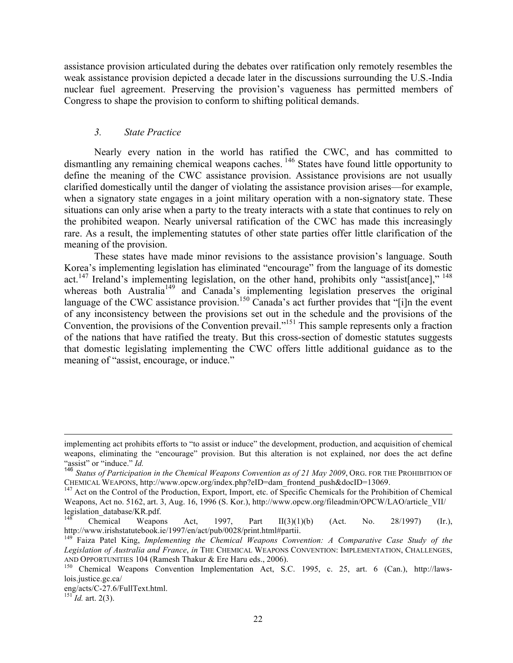assistance provision articulated during the debates over ratification only remotely resembles the weak assistance provision depicted a decade later in the discussions surrounding the U.S.-India nuclear fuel agreement. Preserving the provision's vagueness has permitted members of Congress to shape the provision to conform to shifting political demands.

### *3. State Practice*

Nearly every nation in the world has ratified the CWC, and has committed to dismantling any remaining chemical weapons caches.<sup>146</sup> States have found little opportunity to define the meaning of the CWC assistance provision. Assistance provisions are not usually clarified domestically until the danger of violating the assistance provision arises—for example, when a signatory state engages in a joint military operation with a non-signatory state. These situations can only arise when a party to the treaty interacts with a state that continues to rely on the prohibited weapon. Nearly universal ratification of the CWC has made this increasingly rare. As a result, the implementing statutes of other state parties offer little clarification of the meaning of the provision.

These states have made minor revisions to the assistance provision's language. South Korea's implementing legislation has eliminated "encourage" from the language of its domestic act.<sup>147</sup> Ireland's implementing legislation, on the other hand, prohibits only "assist[ance]," <sup>148</sup> whereas both Australia<sup>149</sup> and Canada's implementing legislation preserves the original language of the CWC assistance provision.<sup>150</sup> Canada's act further provides that "[i]n the event of any inconsistency between the provisions set out in the schedule and the provisions of the Convention, the provisions of the Convention prevail."<sup>151</sup> This sample represents only a fraction of the nations that have ratified the treaty. But this cross-section of domestic statutes suggests that domestic legislating implementing the CWC offers little additional guidance as to the meaning of "assist, encourage, or induce."

implementing act prohibits efforts to "to assist or induce" the development, production, and acquisition of chemical weapons, eliminating the "encourage" provision. But this alteration is not explained, nor does the act define "assist" or "induce." *Id.*

<sup>146</sup> *Status of Participation in the Chemical Weapons Convention as of 21 May 2009*, ORG. FOR THE PROHIBITION OF CHEMICAL WEAPONS, http://www.opcw.org/index.php?eID=dam\_frontend\_push&docID=13069. <sup>147</sup> Act on the Control of the Production, Export, Import, etc. of Specific Chemicals for the Prohibition of Chemical

Weapons, Act no. 5162, art. 3, Aug. 16, 1996 (S. Kor.), http://www.opcw.org/fileadmin/OPCW/LAO/article\_VII/ legislation\_database/KR.pdf.

<sup>&</sup>lt;sup>148</sup> Chemical Weapons Act, 1997, Part II(3)(1)(b) (Act. No. 28/1997) (Ir.), http://www.irishstatutebook.ie/1997/en/act/pub/0028/print.html#partii. <sup>149</sup> Faiza Patel King, *Implementing the Chemical Weapons Convention: A Comparative Case Study of the* 

*Legislation of Australia and France*, *in* THE CHEMICAL WEAPONS CONVENTION: IMPLEMENTATION, CHALLENGES,

AND OPPORTUNITIES 104 (Ramesh Thakur & Ere Haru eds., 2006).<br><sup>150</sup> Chemical Weapons Convention Implementation Act, S.C. 1995, c. 25, art. 6 (Can.), http://lawslois.justice.gc.ca/

eng/acts/C-27.6/FullText.html. <sup>151</sup> *Id.* art. 2(3).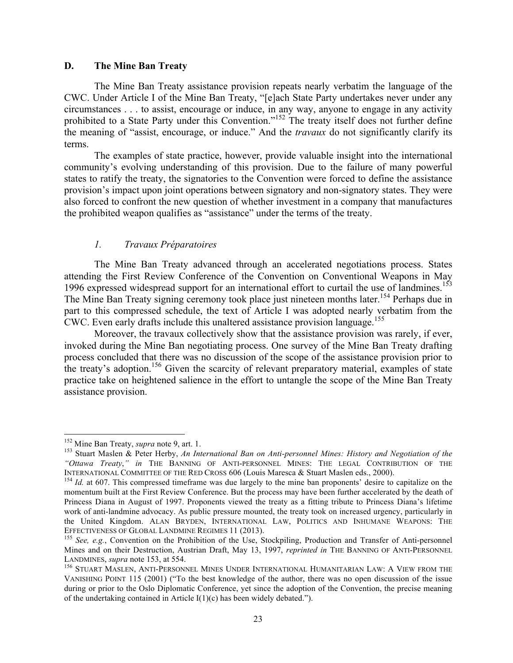## **D. The Mine Ban Treaty**

The Mine Ban Treaty assistance provision repeats nearly verbatim the language of the CWC. Under Article I of the Mine Ban Treaty, "[e]ach State Party undertakes never under any circumstances . . . to assist, encourage or induce, in any way, anyone to engage in any activity prohibited to a State Party under this Convention."<sup>152</sup> The treaty itself does not further define the meaning of "assist, encourage, or induce." And the *travaux* do not significantly clarify its terms.

The examples of state practice, however, provide valuable insight into the international community's evolving understanding of this provision. Due to the failure of many powerful states to ratify the treaty, the signatories to the Convention were forced to define the assistance provision's impact upon joint operations between signatory and non-signatory states. They were also forced to confront the new question of whether investment in a company that manufactures the prohibited weapon qualifies as "assistance" under the terms of the treaty.

### *1. Travaux Préparatoires*

The Mine Ban Treaty advanced through an accelerated negotiations process. States attending the First Review Conference of the Convention on Conventional Weapons in May 1996 expressed widespread support for an international effort to curtail the use of landmines.<sup>153</sup> The Mine Ban Treaty signing ceremony took place just nineteen months later.<sup>154</sup> Perhaps due in part to this compressed schedule, the text of Article I was adopted nearly verbatim from the CWC. Even early drafts include this unaltered assistance provision language.<sup>155</sup>

Moreover, the travaux collectively show that the assistance provision was rarely, if ever, invoked during the Mine Ban negotiating process. One survey of the Mine Ban Treaty drafting process concluded that there was no discussion of the scope of the assistance provision prior to the treaty's adoption.<sup>156</sup> Given the scarcity of relevant preparatory material, examples of state practice take on heightened salience in the effort to untangle the scope of the Mine Ban Treaty assistance provision.

<sup>&</sup>lt;sup>152</sup> Mine Ban Treaty, *supra* note 9, art. 1.<br><sup>153</sup> Stuart Maslen & Peter Herby, *An International Ban on Anti-personnel Mines: History and Negotiation of the "Ottawa Treaty*,*" in* THE BANNING OF ANTI-PERSONNEL MINES: THE LEGAL CONTRIBUTION OF THE

 $154$  *Id.* at 607. This compressed timeframe was due largely to the mine ban proponents' desire to capitalize on the momentum built at the First Review Conference. But the process may have been further accelerated by the death of Princess Diana in August of 1997. Proponents viewed the treaty as a fitting tribute to Princess Diana's lifetime work of anti-landmine advocacy. As public pressure mounted, the treaty took on increased urgency, particularly in the United Kingdom. ALAN BRYDEN, INTERNATIONAL LAW, POLITICS AND INHUMANE WEAPONS: THE EFFECTIVENESS OF GLOBAL LANDMINE REGIMES 11 (2013).<br><sup>155</sup> *See, e.g.*, Convention on the Prohibition of the Use, Stockpiling, Production and Transfer of Anti-personnel

Mines and on their Destruction, Austrian Draft, May 13, 1997, *reprinted in* THE BANNING OF ANTI-PERSONNEL LANDMINES, *supra* note 153, at 554.<br><sup>156</sup> Stuart Maslen, Anti-Personnel Mines Under International Humanitarian Law: A View from the

VANISHING POINT 115 (2001) ("To the best knowledge of the author, there was no open discussion of the issue during or prior to the Oslo Diplomatic Conference, yet since the adoption of the Convention, the precise meaning of the undertaking contained in Article I(1)(c) has been widely debated.").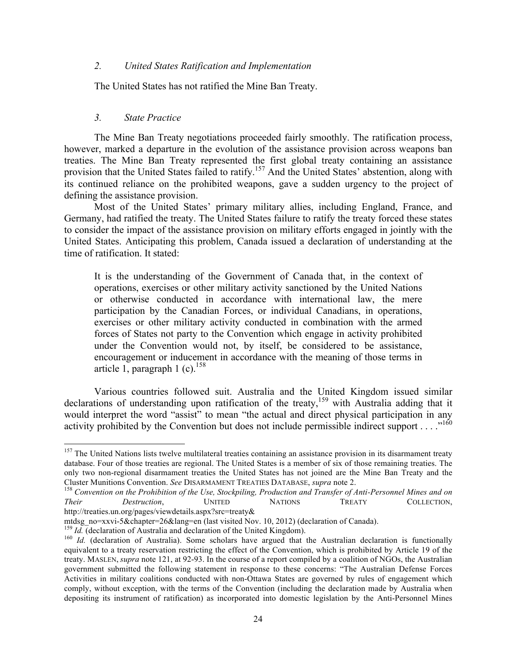#### *2. United States Ratification and Implementation*

The United States has not ratified the Mine Ban Treaty.

#### *3. State Practice*

The Mine Ban Treaty negotiations proceeded fairly smoothly. The ratification process, however, marked a departure in the evolution of the assistance provision across weapons ban treaties. The Mine Ban Treaty represented the first global treaty containing an assistance provision that the United States failed to ratify.<sup>157</sup> And the United States' abstention, along with its continued reliance on the prohibited weapons, gave a sudden urgency to the project of defining the assistance provision.

Most of the United States' primary military allies, including England, France, and Germany, had ratified the treaty. The United States failure to ratify the treaty forced these states to consider the impact of the assistance provision on military efforts engaged in jointly with the United States. Anticipating this problem, Canada issued a declaration of understanding at the time of ratification. It stated:

It is the understanding of the Government of Canada that, in the context of operations, exercises or other military activity sanctioned by the United Nations or otherwise conducted in accordance with international law, the mere participation by the Canadian Forces, or individual Canadians, in operations, exercises or other military activity conducted in combination with the armed forces of States not party to the Convention which engage in activity prohibited under the Convention would not, by itself, be considered to be assistance, encouragement or inducement in accordance with the meaning of those terms in article 1, paragraph 1 (c).<sup>158</sup>

Various countries followed suit. Australia and the United Kingdom issued similar declarations of understanding upon ratification of the treaty,<sup>159</sup> with Australia adding that it would interpret the word "assist" to mean "the actual and direct physical participation in any activity prohibited by the Convention but does not include permissible indirect support  $\dots$ <sup>160</sup>

<sup>&</sup>lt;sup>157</sup> The United Nations lists twelve multilateral treaties containing an assistance provision in its disarmament treaty database. Four of those treaties are regional. The United States is a member of six of those remaining treaties. The only two non-regional disarmament treaties the United States has not joined are the Mine Ban Treaty and the Cluster Munitions Convention. *See* DISARMAMENT TREATIES DATABASE, *supra* note 2. <sup>158</sup> *Convention on the Prohibition of the Use, Stockpiling, Production and Transfer of Anti-Personnel Mines and on* 

*Their Destruction*, UNITED NATIONS TREATY COLLECTION,

http://treaties.un.org/pages/viewdetails.aspx?src=treaty&<br>mtdsg\_no=xxvi-5&chapter=26&lang=en (last visited Nov. 10, 2012) (declaration of Canada).

<sup>&</sup>lt;sup>159</sup> *Id.* (declaration of Australia and declaration of the United Kingdom).<br><sup>160</sup> *Id.* (declaration of Australia). Some scholars have argued that the Australian declaration is functionally equivalent to a treaty reservation restricting the effect of the Convention, which is prohibited by Article 19 of the treaty. MASLEN, *supra* note 121, at 92-93. In the course of a report compiled by a coalition of NGOs, the Australian government submitted the following statement in response to these concerns: "The Australian Defense Forces Activities in military coalitions conducted with non-Ottawa States are governed by rules of engagement which comply, without exception, with the terms of the Convention (including the declaration made by Australia when depositing its instrument of ratification) as incorporated into domestic legislation by the Anti-Personnel Mines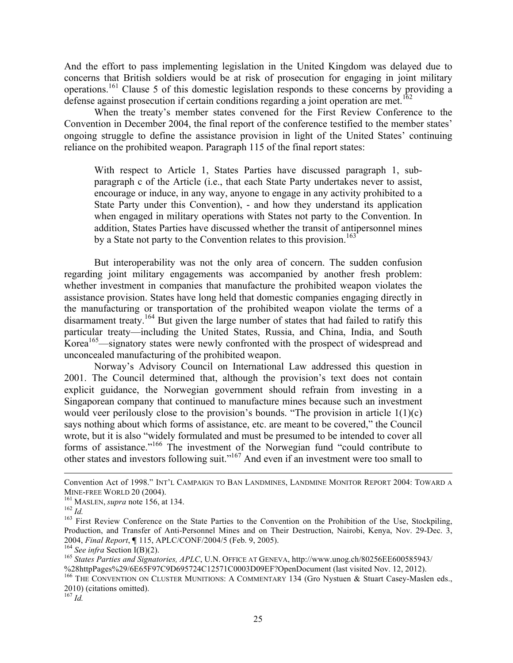And the effort to pass implementing legislation in the United Kingdom was delayed due to concerns that British soldiers would be at risk of prosecution for engaging in joint military operations.<sup>161</sup> Clause 5 of this domestic legislation responds to these concerns by providing a defense against prosecution if certain conditions regarding a joint operation are met.

When the treaty's member states convened for the First Review Conference to the Convention in December 2004, the final report of the conference testified to the member states' ongoing struggle to define the assistance provision in light of the United States' continuing reliance on the prohibited weapon. Paragraph 115 of the final report states:

With respect to Article 1, States Parties have discussed paragraph 1, subparagraph c of the Article (i.e., that each State Party undertakes never to assist, encourage or induce, in any way, anyone to engage in any activity prohibited to a State Party under this Convention), - and how they understand its application when engaged in military operations with States not party to the Convention. In addition, States Parties have discussed whether the transit of antipersonnel mines by a State not party to the Convention relates to this provision.<sup>163</sup>

But interoperability was not the only area of concern. The sudden confusion regarding joint military engagements was accompanied by another fresh problem: whether investment in companies that manufacture the prohibited weapon violates the assistance provision. States have long held that domestic companies engaging directly in the manufacturing or transportation of the prohibited weapon violate the terms of a disarmament treaty.164 But given the large number of states that had failed to ratify this particular treaty—including the United States, Russia, and China, India, and South Korea<sup>165</sup>—signatory states were newly confronted with the prospect of widespread and unconcealed manufacturing of the prohibited weapon.

Norway's Advisory Council on International Law addressed this question in 2001. The Council determined that, although the provision's text does not contain explicit guidance, the Norwegian government should refrain from investing in a Singaporean company that continued to manufacture mines because such an investment would veer perilously close to the provision's bounds. "The provision in article 1(1)(c) says nothing about which forms of assistance, etc. are meant to be covered," the Council wrote, but it is also "widely formulated and must be presumed to be intended to cover all forms of assistance."<sup>166</sup> The investment of the Norwegian fund "could contribute to other states and investors following suit."<sup>167</sup> And even if an investment were too small to

 $^{167}$  *Id.* 

Convention Act of 1998." INT'L CAMPAIGN TO BAN LANDMINES, LANDMINE MONITOR REPORT 2004: TOWARD A MINE-FREE WORLD 20 (2004).

<sup>&</sup>lt;sup>161</sup> MASLEN, *supra* note 156, at 134.<br><sup>162</sup> *Id.* <sup>162</sup> *Id.* 163 First Review Conference on the State Parties to the Convention on the Prohibition of the Use, Stockpiling, Production, and Transfer of Anti-Personnel Mines and on Their Destruction, Nairobi, Kenya, Nov. 29-Dec. 3, 2004, *Final Report*, **¶** 115, APLC/CONF/2004/5 (Feb. 9, 2005).<br><sup>164</sup> *See infra* Section I(B)(2).<br><sup>165</sup> *States Parties and Signatories, APLC*, U.N. OFFICE AT GENEVA, http://www.unog.ch/80256EE600585943/

<sup>%28</sup>httpPages%29/6E65F97C9D695724C12571C0003D09EF?OpenDocument (last visited Nov. 12, 2012).

<sup>&</sup>lt;sup>166</sup> THE CONVENTION ON CLUSTER MUNITIONS: A COMMENTARY 134 (Gro Nystuen & Stuart Casey-Maslen eds., 2010) (citations omitted).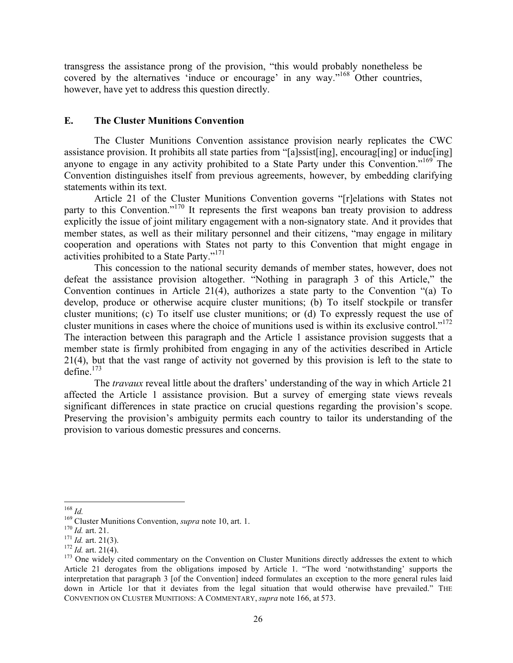transgress the assistance prong of the provision, "this would probably nonetheless be covered by the alternatives 'induce or encourage' in any way."<sup>168</sup> Other countries, however, have yet to address this question directly.

### **E. The Cluster Munitions Convention**

The Cluster Munitions Convention assistance provision nearly replicates the CWC assistance provision. It prohibits all state parties from "[a]ssist[ing], encourag[ing] or induc[ing] anyone to engage in any activity prohibited to a State Party under this Convention."<sup>169</sup> The Convention distinguishes itself from previous agreements, however, by embedding clarifying statements within its text.

Article 21 of the Cluster Munitions Convention governs "[r]elations with States not party to this Convention."<sup>170</sup> It represents the first weapons ban treaty provision to address explicitly the issue of joint military engagement with a non-signatory state. And it provides that member states, as well as their military personnel and their citizens, "may engage in military cooperation and operations with States not party to this Convention that might engage in activities prohibited to a State Party."<sup>171</sup>

This concession to the national security demands of member states, however, does not defeat the assistance provision altogether. "Nothing in paragraph 3 of this Article," the Convention continues in Article 21(4), authorizes a state party to the Convention "(a) To develop, produce or otherwise acquire cluster munitions; (b) To itself stockpile or transfer cluster munitions; (c) To itself use cluster munitions; or (d) To expressly request the use of cluster munitions in cases where the choice of munitions used is within its exclusive control."172 The interaction between this paragraph and the Article 1 assistance provision suggests that a member state is firmly prohibited from engaging in any of the activities described in Article 21(4), but that the vast range of activity not governed by this provision is left to the state to define $173$ 

The *travaux* reveal little about the drafters' understanding of the way in which Article 21 affected the Article 1 assistance provision. But a survey of emerging state views reveals significant differences in state practice on crucial questions regarding the provision's scope. Preserving the provision's ambiguity permits each country to tailor its understanding of the provision to various domestic pressures and concerns.

<sup>&</sup>lt;sup>168</sup> *Id.*<br><sup>169</sup> Cluster Munitions Convention, *supra* note 10, art. 1.<br><sup>170</sup> *Id.* art. 21.<br><sup>171</sup> *Id.* art. 21(3).<br><sup>171</sup> *Id.* art. 21(4).<br><sup>172</sup> *Id.* art. 21(4).<br><sup>172</sup> *Id.* art. 21(4). Article 21 derogates from the obligations imposed by Article 1. "The word 'notwithstanding' supports the interpretation that paragraph 3 [of the Convention] indeed formulates an exception to the more general rules laid down in Article 1or that it deviates from the legal situation that would otherwise have prevailed." THE CONVENTION ON CLUSTER MUNITIONS: A COMMENTARY, *supra* note 166, at 573.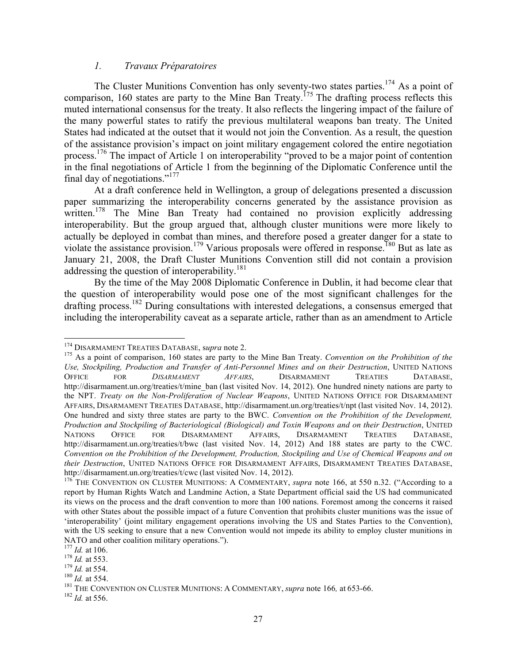# *1. Travaux Préparatoires*

The Cluster Munitions Convention has only seventy-two states parties.<sup>174</sup> As a point of comparison, 160 states are party to the Mine Ban Treaty.<sup>175</sup> The drafting process reflects this muted international consensus for the treaty. It also reflects the lingering impact of the failure of the many powerful states to ratify the previous multilateral weapons ban treaty. The United States had indicated at the outset that it would not join the Convention. As a result, the question of the assistance provision's impact on joint military engagement colored the entire negotiation process.176 The impact of Article 1 on interoperability "proved to be a major point of contention in the final negotiations of Article 1 from the beginning of the Diplomatic Conference until the final day of negotiations."177

At a draft conference held in Wellington, a group of delegations presented a discussion paper summarizing the interoperability concerns generated by the assistance provision as written.<sup>178</sup> The Mine Ban Treaty had contained no provision explicitly addressing interoperability. But the group argued that, although cluster munitions were more likely to actually be deployed in combat than mines, and therefore posed a greater danger for a state to violate the assistance provision.<sup>179</sup> Various proposals were offered in response.<sup>180</sup> But as late as January 21, 2008, the Draft Cluster Munitions Convention still did not contain a provision addressing the question of interoperability.<sup>181</sup>

By the time of the May 2008 Diplomatic Conference in Dublin, it had become clear that the question of interoperability would pose one of the most significant challenges for the drafting process.<sup>182</sup> During consultations with interested delegations, a consensus emerged that including the interoperability caveat as a separate article, rather than as an amendment to Article

<sup>&</sup>lt;sup>174</sup> DISARMAMENT TREATIES DATABASE, supra note 2.<br><sup>175</sup> As a point of comparison, 160 states are party to the Mine Ban Treaty. *Convention on the Prohibition of the Use, Stockpiling, Production and Transfer of Anti-Personnel Mines and on their Destruction*, UNITED NATIONS OFFICE FOR *DISARMAMENT AFFAIRS*, DISARMAMENT TREATIES DATABASE, http://disarmament.un.org/treaties/t/mine\_ban (last visited Nov. 14, 2012). One hundred ninety nations are party to the NPT. *Treaty on the Non-Proliferation of Nuclear Weapons*, UNITED NATIONS OFFICE FOR DISARMAMENT AFFAIRS, DISARMAMENT TREATIES DATABASE, http://disarmament.un.org/treaties/t/npt (last visited Nov. 14, 2012). One hundred and sixty three states are party to the BWC. *Convention on the Prohibition of the Development, Production and Stockpiling of Bacteriological (Biological) and Toxin Weapons and on their Destruction*, UNITED NATIONS OFFICE FOR DISARMAMENT AFFAIRS, DISARMAMENT TREATIES DATABASE, http://disarmament.un.org/treaties/t/bwc (last visited Nov. 14, 2012) And 188 states are party to the CWC. *Convention on the Prohibition of the Development, Production, Stockpiling and Use of Chemical Weapons and on their Destruction*, UNITED NATIONS OFFICE FOR DISARMAMENT AFFAIRS, DISARMAMENT TREATIES DATABASE, http://disarmament.un.org/treaties/t/cwc (last visited Nov. 14, 2012).<br><sup>176</sup> THE CONVENTION ON CLUSTER MUNITIONS: A COMMENTARY, *supra* note 166, at 550 n.32. ("According to a

report by Human Rights Watch and Landmine Action, a State Department official said the US had communicated its views on the process and the draft convention to more than 100 nations. Foremost among the concerns it raised with other States about the possible impact of a future Convention that prohibits cluster munitions was the issue of 'interoperability' (joint military engagement operations involving the US and States Parties to the Convention), with the US seeking to ensure that a new Convention would not impede its ability to employ cluster munitions in NATO and other coalition military operations.").<br>
<sup>177</sup> *Id.* at 106.<br>
<sup>178</sup> *Id.* at 553.<br>
<sup>179</sup> *Id.* at 554.<br>
<sup>180</sup> *Id.* at 554.<br>
<sup>181</sup> THE CONVENTION ON CLUSTER MUNITIONS: A COMMENTARY, *supra* note 166, at 653-66.<br>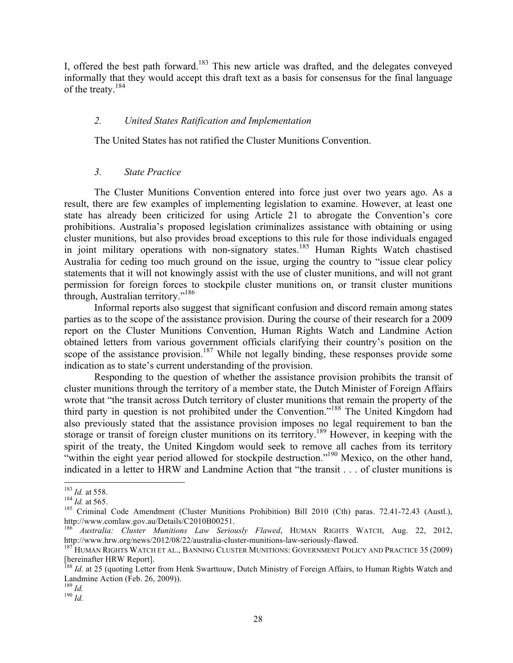I, offered the best path forward.183 This new article was drafted, and the delegates conveyed informally that they would accept this draft text as a basis for consensus for the final language of the treaty.<sup>184</sup>

# *2. United States Ratification and Implementation*

The United States has not ratified the Cluster Munitions Convention.

### *3. State Practice*

The Cluster Munitions Convention entered into force just over two years ago. As a result, there are few examples of implementing legislation to examine. However, at least one state has already been criticized for using Article 21 to abrogate the Convention's core prohibitions. Australia's proposed legislation criminalizes assistance with obtaining or using cluster munitions, but also provides broad exceptions to this rule for those individuals engaged in joint military operations with non-signatory states.<sup>185</sup> Human Rights Watch chastised Australia for ceding too much ground on the issue, urging the country to "issue clear policy statements that it will not knowingly assist with the use of cluster munitions, and will not grant permission for foreign forces to stockpile cluster munitions on, or transit cluster munitions through, Australian territory."<sup>186</sup>

Informal reports also suggest that significant confusion and discord remain among states parties as to the scope of the assistance provision. During the course of their research for a 2009 report on the Cluster Munitions Convention, Human Rights Watch and Landmine Action obtained letters from various government officials clarifying their country's position on the scope of the assistance provision.<sup>187</sup> While not legally binding, these responses provide some indication as to state's current understanding of the provision.

Responding to the question of whether the assistance provision prohibits the transit of cluster munitions through the territory of a member state, the Dutch Minister of Foreign Affairs wrote that "the transit across Dutch territory of cluster munitions that remain the property of the third party in question is not prohibited under the Convention."<sup>188</sup> The United Kingdom had also previously stated that the assistance provision imposes no legal requirement to ban the storage or transit of foreign cluster munitions on its territory.<sup>189</sup> However, in keeping with the spirit of the treaty, the United Kingdom would seek to remove all caches from its territory "within the eight year period allowed for stockpile destruction."<sup>190</sup> Mexico, on the other hand, indicated in a letter to HRW and Landmine Action that "the transit . . . of cluster munitions is

<sup>&</sup>lt;sup>183</sup> *Id.* at 558.<br><sup>184</sup> *Id.* at 565.<br><sup>185</sup> Criminal Code Amendment (Cluster Munitions Prohibition) Bill 2010 (Cth) paras. 72.41-72.43 (Austl.), http://www.comlaw.gov.au/Details/C2010B00251.

<sup>&</sup>lt;sup>186</sup> *Australia: Cluster Munitions Law Seriously Flawed*, HUMAN RIGHTS WATCH, Aug. 22, 2012, http://www.hrw.org/news/2012/08/22/australia-cluster-munitions-law-seriously-flawed.

<sup>&</sup>lt;sup>187</sup> HUMAN RIGHTS WATCH ET AL., BANNING CLUSTER MUNITIONS: GOVERNMENT POLICY AND PRACTICE 35 (2009) [hereinafter HRW Report].

<sup>&</sup>lt;sup>188</sup> *Id.* at 25 (quoting Letter from Henk Swarttouw, Dutch Ministry of Foreign Affairs, to Human Rights Watch and Landmine Action (Feb. 26, 2009)).

 $\frac{189}{190}$  *Id.*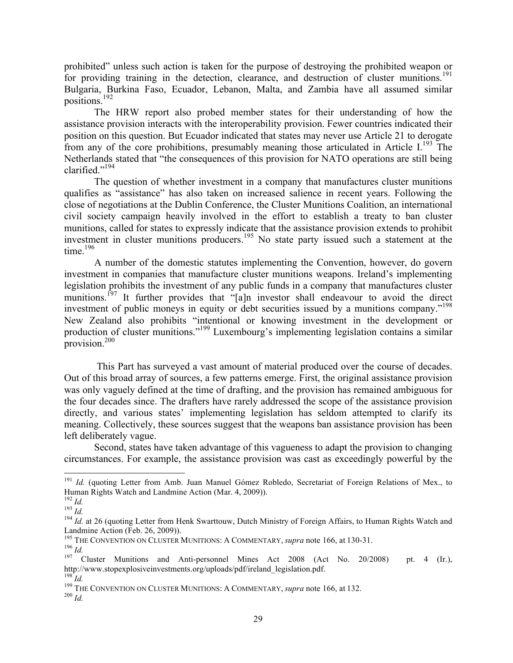prohibited" unless such action is taken for the purpose of destroying the prohibited weapon or for providing training in the detection, clearance, and destruction of cluster munitions.<sup>191</sup> Bulgaria, Burkina Faso, Ecuador, Lebanon, Malta, and Zambia have all assumed similar positions.192

The HRW report also probed member states for their understanding of how the assistance provision interacts with the interoperability provision. Fewer countries indicated their position on this question. But Ecuador indicated that states may never use Article 21 to derogate from any of the core prohibitions, presumably meaning those articulated in Article I.<sup>193</sup> The Netherlands stated that "the consequences of this provision for NATO operations are still being clarified."194

The question of whether investment in a company that manufactures cluster munitions qualifies as "assistance" has also taken on increased salience in recent years. Following the close of negotiations at the Dublin Conference, the Cluster Munitions Coalition, an international civil society campaign heavily involved in the effort to establish a treaty to ban cluster munitions, called for states to expressly indicate that the assistance provision extends to prohibit investment in cluster munitions producers.<sup>195</sup> No state party issued such a statement at the time. $196$ 

A number of the domestic statutes implementing the Convention, however, do govern investment in companies that manufacture cluster munitions weapons. Ireland's implementing legislation prohibits the investment of any public funds in a company that manufactures cluster munitions.<sup>197</sup> It further provides that "[a]n investor shall endeavour to avoid the direct investment of public moneys in equity or debt securities issued by a munitions company."<sup>198</sup> New Zealand also prohibits "intentional or knowing investment in the development or production of cluster munitions."199 Luxembourg's implementing legislation contains a similar provision.200

This Part has surveyed a vast amount of material produced over the course of decades. Out of this broad array of sources, a few patterns emerge. First, the original assistance provision was only vaguely defined at the time of drafting, and the provision has remained ambiguous for the four decades since. The drafters have rarely addressed the scope of the assistance provision directly, and various states' implementing legislation has seldom attempted to clarify its meaning. Collectively, these sources suggest that the weapons ban assistance provision has been left deliberately vague.

Second, states have taken advantage of this vagueness to adapt the provision to changing circumstances. For example, the assistance provision was cast as exceedingly powerful by the

<sup>&</sup>lt;sup>191</sup> *Id.* (quoting Letter from Amb. Juan Manuel Gómez Robledo, Secretariat of Foreign Relations of Mex., to Human Rights Watch and Landmine Action (Mar. 4, 2009)).<br>
<sup>192</sup> *Id.*<br>
<sup>194</sup> *Id.* at 26 (quoting Letter from Henk Swarttouw, Dutch Ministry of Foreign Affairs, to Human Rights Watch and

Landmine Action (Feb. 26, 2009)).<br><sup>195</sup> THE CONVENTION ON CLUSTER MUNITIONS: A COMMENTARY, *supra* note 166, at 130-31.

<sup>196</sup> THE CONVENTION ON CLUSTER 166 THE CONVENTION ON CLUSTER 166.<br><sup>197</sup> Cluster Munitions and Anti-personnel Mines Act 2008 (Act No. 20/2008) pt. 4 (Ir.), http://www.stopexplosiveinvestments.org/uploads/pdf/ireland\_legislation.pdf.  $^{198}$   $\overline{\rm\it{Id}}$ 

<sup>&</sup>lt;sup>199</sup> THE CONVENTION ON CLUSTER MUNITIONS: A COMMENTARY, *supra* note 166, at 132.<br><sup>200</sup> *Id.*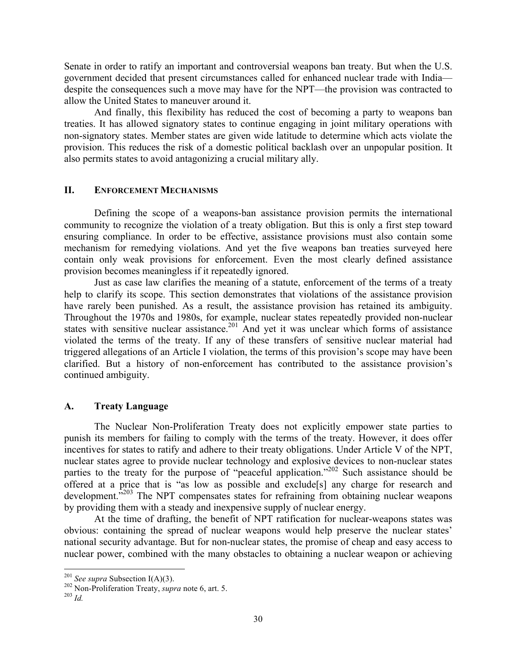Senate in order to ratify an important and controversial weapons ban treaty. But when the U.S. government decided that present circumstances called for enhanced nuclear trade with India despite the consequences such a move may have for the NPT—the provision was contracted to allow the United States to maneuver around it.

And finally, this flexibility has reduced the cost of becoming a party to weapons ban treaties. It has allowed signatory states to continue engaging in joint military operations with non-signatory states. Member states are given wide latitude to determine which acts violate the provision. This reduces the risk of a domestic political backlash over an unpopular position. It also permits states to avoid antagonizing a crucial military ally.

### **II. ENFORCEMENT MECHANISMS**

Defining the scope of a weapons-ban assistance provision permits the international community to recognize the violation of a treaty obligation. But this is only a first step toward ensuring compliance. In order to be effective, assistance provisions must also contain some mechanism for remedying violations. And yet the five weapons ban treaties surveyed here contain only weak provisions for enforcement. Even the most clearly defined assistance provision becomes meaningless if it repeatedly ignored.

Just as case law clarifies the meaning of a statute, enforcement of the terms of a treaty help to clarify its scope. This section demonstrates that violations of the assistance provision have rarely been punished. As a result, the assistance provision has retained its ambiguity. Throughout the 1970s and 1980s, for example, nuclear states repeatedly provided non-nuclear states with sensitive nuclear assistance.<sup>201</sup> And yet it was unclear which forms of assistance violated the terms of the treaty. If any of these transfers of sensitive nuclear material had triggered allegations of an Article I violation, the terms of this provision's scope may have been clarified. But a history of non-enforcement has contributed to the assistance provision's continued ambiguity.

### **A. Treaty Language**

The Nuclear Non-Proliferation Treaty does not explicitly empower state parties to punish its members for failing to comply with the terms of the treaty. However, it does offer incentives for states to ratify and adhere to their treaty obligations. Under Article V of the NPT, nuclear states agree to provide nuclear technology and explosive devices to non-nuclear states parties to the treaty for the purpose of "peaceful application."<sup>202</sup> Such assistance should be offered at a price that is "as low as possible and exclude[s] any charge for research and development.<sup>2203</sup> The NPT compensates states for refraining from obtaining nuclear weapons by providing them with a steady and inexpensive supply of nuclear energy.

At the time of drafting, the benefit of NPT ratification for nuclear-weapons states was obvious: containing the spread of nuclear weapons would help preserve the nuclear states' national security advantage. But for non-nuclear states, the promise of cheap and easy access to nuclear power, combined with the many obstacles to obtaining a nuclear weapon or achieving

<sup>201</sup> *See supra* Subsection I(A)(3). 202 Non-Proliferation Treaty, *supra* note 6, art. 5. <sup>203</sup> *Id.*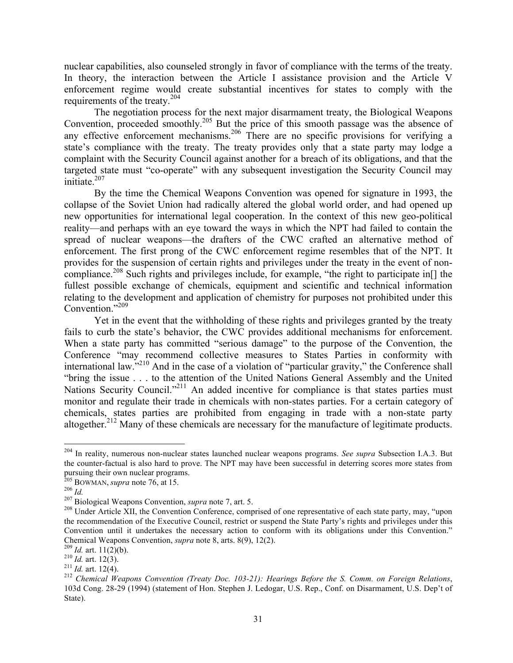nuclear capabilities, also counseled strongly in favor of compliance with the terms of the treaty. In theory, the interaction between the Article I assistance provision and the Article V enforcement regime would create substantial incentives for states to comply with the requirements of the treaty.<sup>204</sup>

The negotiation process for the next major disarmament treaty, the Biological Weapons Convention, proceeded smoothly.<sup>205</sup> But the price of this smooth passage was the absence of any effective enforcement mechanisms.<sup>206</sup> There are no specific provisions for verifying a state's compliance with the treaty. The treaty provides only that a state party may lodge a complaint with the Security Council against another for a breach of its obligations, and that the targeted state must "co-operate" with any subsequent investigation the Security Council may initiate. 207

By the time the Chemical Weapons Convention was opened for signature in 1993, the collapse of the Soviet Union had radically altered the global world order, and had opened up new opportunities for international legal cooperation. In the context of this new geo-political reality—and perhaps with an eye toward the ways in which the NPT had failed to contain the spread of nuclear weapons—the drafters of the CWC crafted an alternative method of enforcement. The first prong of the CWC enforcement regime resembles that of the NPT. It provides for the suspension of certain rights and privileges under the treaty in the event of noncompliance.<sup>208</sup> Such rights and privileges include, for example, "the right to participate in[] the fullest possible exchange of chemicals, equipment and scientific and technical information relating to the development and application of chemistry for purposes not prohibited under this Convention."<sup>209</sup>

Yet in the event that the withholding of these rights and privileges granted by the treaty fails to curb the state's behavior, the CWC provides additional mechanisms for enforcement. When a state party has committed "serious damage" to the purpose of the Convention, the Conference "may recommend collective measures to States Parties in conformity with international law."<sup>210</sup> And in the case of a violation of "particular gravity," the Conference shall "bring the issue . . . to the attention of the United Nations General Assembly and the United Nations Security Council."<sup>211</sup> An added incentive for compliance is that states parties must monitor and regulate their trade in chemicals with non-states parties. For a certain category of chemicals, states parties are prohibited from engaging in trade with a non-state party altogether.<sup>212</sup> Many of these chemicals are necessary for the manufacture of legitimate products.

 <sup>204</sup> In reality, numerous non-nuclear states launched nuclear weapons programs. *See supra* Subsection I.A.3. But the counter-factual is also hard to prove. The NPT may have been successful in deterring scores more states from pursuing their own nuclear programs.<br><sup>205</sup> BOWMAN, *supra* note 76, at 15.

 $^{206}$  *Id.*<br><sup>207</sup> Biological Weapons Convention, *supra* note 7, art. 5.<br><sup>208</sup> Under Article XII, the Convention Conference, comprised of one representative of each state party, may, "upon the recommendation of the Executive Council, restrict or suspend the State Party's rights and privileges under this Convention until it undertakes the necessary action to conform with its obligations under this Convention."<br>Chemical Weapons Convention, *supra* note 8, arts. 8(9), 12(2).

<sup>&</sup>lt;sup>209</sup> Id. art. 11(2)(b).<br><sup>210</sup> Id. art. 12(3).<br><sup>211</sup> Id. art. 12(4).<br><sup>212</sup> Chemical Weapons Convention (Treaty Doc. 103-21): Hearings Before the S. Comm. on Foreign Relations, 103d Cong. 28-29 (1994) (statement of Hon. Stephen J. Ledogar, U.S. Rep., Conf. on Disarmament, U.S. Dep't of State).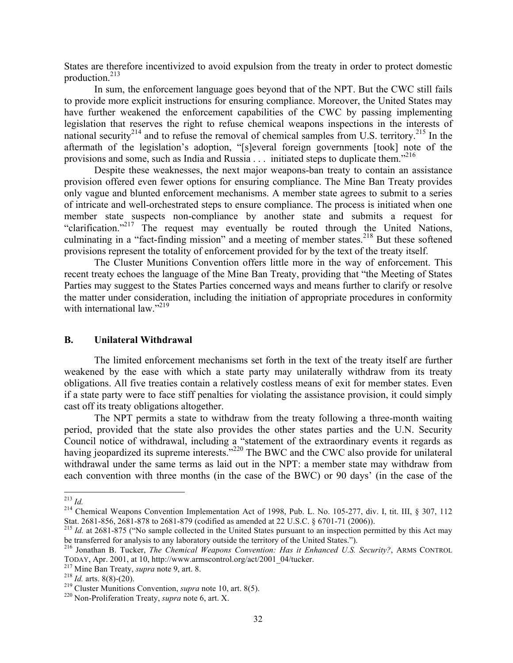States are therefore incentivized to avoid expulsion from the treaty in order to protect domestic production.213

In sum, the enforcement language goes beyond that of the NPT. But the CWC still fails to provide more explicit instructions for ensuring compliance. Moreover, the United States may have further weakened the enforcement capabilities of the CWC by passing implementing legislation that reserves the right to refuse chemical weapons inspections in the interests of national security<sup>214</sup> and to refuse the removal of chemical samples from U.S. territory.<sup>215</sup> In the aftermath of the legislation's adoption, "[s]everal foreign governments [took] note of the provisions and some, such as India and Russia  $\ldots$  initiated steps to duplicate them."<sup>216</sup>

Despite these weaknesses, the next major weapons-ban treaty to contain an assistance provision offered even fewer options for ensuring compliance. The Mine Ban Treaty provides only vague and blunted enforcement mechanisms. A member state agrees to submit to a series of intricate and well-orchestrated steps to ensure compliance. The process is initiated when one member state suspects non-compliance by another state and submits a request for "clarification."217 The request may eventually be routed through the United Nations, culminating in a "fact-finding mission" and a meeting of member states.<sup>218</sup> But these softened provisions represent the totality of enforcement provided for by the text of the treaty itself.

The Cluster Munitions Convention offers little more in the way of enforcement. This recent treaty echoes the language of the Mine Ban Treaty, providing that "the Meeting of States Parties may suggest to the States Parties concerned ways and means further to clarify or resolve the matter under consideration, including the initiation of appropriate procedures in conformity with international law." $^{219}$ 

#### **B. Unilateral Withdrawal**

The limited enforcement mechanisms set forth in the text of the treaty itself are further weakened by the ease with which a state party may unilaterally withdraw from its treaty obligations. All five treaties contain a relatively costless means of exit for member states. Even if a state party were to face stiff penalties for violating the assistance provision, it could simply cast off its treaty obligations altogether.

The NPT permits a state to withdraw from the treaty following a three-month waiting period, provided that the state also provides the other states parties and the U.N. Security Council notice of withdrawal, including a "statement of the extraordinary events it regards as having jeopardized its supreme interests."<sup>220</sup> The BWC and the CWC also provide for unilateral withdrawal under the same terms as laid out in the NPT: a member state may withdraw from each convention with three months (in the case of the BWC) or 90 days' (in the case of the

<sup>&</sup>lt;sup>213</sup> *Id.* 214 Chemical Weapons Convention Implementation Act of 1998, Pub. L. No. 105-277, div. I, tit. III, § 307, 112 Stat. 2681-856, 2681-878 to 2681-879 (codified as amended at 22 U.S.C. § 6701-71 (2006)).

<sup>&</sup>lt;sup>215</sup> *Id.* at 2681-875 ("No sample collected in the United States pursuant to an inspection permitted by this Act may be transferred for analysis to any laboratory outside the territory of the United States.").

<sup>216</sup> Jonathan B. Tucker, *The Chemical Weapons Convention: Has it Enhanced U.S. Security?*, ARMS CONTROL TODAY, Apr. 2001, at 10, http://www.armscontrol.org/act/2001\_04/tucker.<br><sup>217</sup> Mine Ban Treaty, *supra* note 9, art. 8.<br><sup>218</sup> Id. arts. 8(8)-(20).<br><sup>218</sup> Cluster Munitions Convention, *supra* note 10, art. 8(5).<br><sup>219</sup> Clust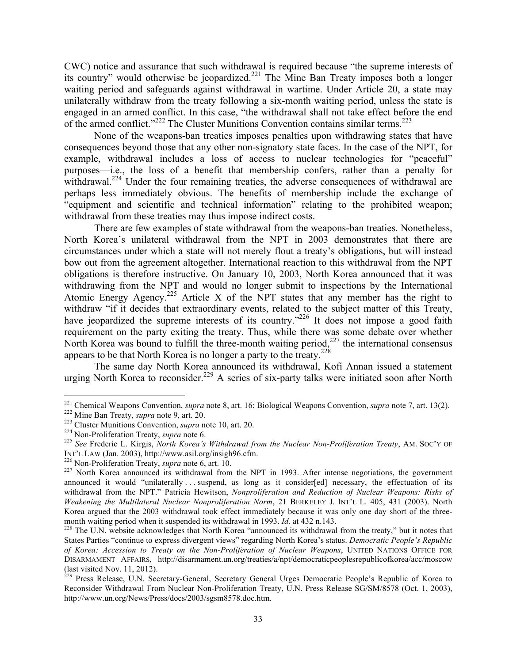CWC) notice and assurance that such withdrawal is required because "the supreme interests of its country" would otherwise be jeopardized.<sup>221</sup> The Mine Ban Treaty imposes both a longer waiting period and safeguards against withdrawal in wartime. Under Article 20, a state may unilaterally withdraw from the treaty following a six-month waiting period, unless the state is engaged in an armed conflict. In this case, "the withdrawal shall not take effect before the end of the armed conflict."<sup>222</sup> The Cluster Munitions Convention contains similar terms.<sup>223</sup>

None of the weapons-ban treaties imposes penalties upon withdrawing states that have consequences beyond those that any other non-signatory state faces. In the case of the NPT, for example, withdrawal includes a loss of access to nuclear technologies for "peaceful" purposes—i.e., the loss of a benefit that membership confers, rather than a penalty for withdrawal.<sup>224</sup> Under the four remaining treaties, the adverse consequences of withdrawal are perhaps less immediately obvious. The benefits of membership include the exchange of "equipment and scientific and technical information" relating to the prohibited weapon; withdrawal from these treaties may thus impose indirect costs.

There are few examples of state withdrawal from the weapons-ban treaties. Nonetheless, North Korea's unilateral withdrawal from the NPT in 2003 demonstrates that there are circumstances under which a state will not merely flout a treaty's obligations, but will instead bow out from the agreement altogether. International reaction to this withdrawal from the NPT obligations is therefore instructive. On January 10, 2003, North Korea announced that it was withdrawing from the NPT and would no longer submit to inspections by the International Atomic Energy Agency.<sup>225</sup> Article X of the NPT states that any member has the right to withdraw "if it decides that extraordinary events, related to the subject matter of this Treaty, have jeopardized the supreme interests of its country."<sup>226</sup> It does not impose a good faith requirement on the party exiting the treaty. Thus, while there was some debate over whether North Korea was bound to fulfill the three-month waiting period, $227$  the international consensus appears to be that North Korea is no longer a party to the treaty. $228$ 

The same day North Korea announced its withdrawal, Kofi Annan issued a statement urging North Korea to reconsider.<sup>229</sup> A series of six-party talks were initiated soon after North

<sup>&</sup>lt;sup>221</sup> Chemical Weapons Convention, *supra* note 8, art. 16; Biological Weapons Convention, *supra* note 7, art. 13(2).<br><sup>222</sup> Mine Ban Treaty, *supra* note 9, art. 20.<br><sup>223</sup> Cluster Munitions Convention, *supra* note 10, a

INT'L LAW (Jan. 2003), http://www.asil.org/insigh96.cfm. 226 Non-Proliferation Treaty, *supra* note 6, art. 10. <sup>227</sup> North Korea announced its withdrawal from the NPT in 1993. After intense negotiations, the government

announced it would "unilaterally ... suspend, as long as it consider[ed] necessary, the effectuation of its withdrawal from the NPT." Patricia Hewitson, *Nonproliferation and Reduction of Nuclear Weapons: Risks of Weakening the Multilateral Nuclear Nonproliferation Norm*, 21 BERKELEY J. INT'L L. 405, 431 (2003). North Korea argued that the 2003 withdrawal took effect immediately because it was only one day short of the three-<br>month waiting period when it suspended its withdrawal in 1993. *Id.* at 432 n.143.

<sup>&</sup>lt;sup>228</sup> The U.N. website acknowledges that North Korea "announced its withdrawal from the treaty," but it notes that States Parties "continue to express divergent views" regarding North Korea's status. *Democratic People's Republic of Korea: Accession to Treaty on the Non-Proliferation of Nuclear Weapons*, UNITED NATIONS OFFICE FOR DISARMAMENT AFFAIRS, http://disarmament.un.org/treaties/a/npt/democraticpeoplesrepublicofkorea/acc/moscow (last visited Nov. 11, 2012).<br><sup>229</sup> Press Release, U.N. Secretary-General, Secretary General Urges Democratic People's Republic of Korea to

Reconsider Withdrawal From Nuclear Non-Proliferation Treaty, U.N. Press Release SG/SM/8578 (Oct. 1, 2003), http://www.un.org/News/Press/docs/2003/sgsm8578.doc.htm.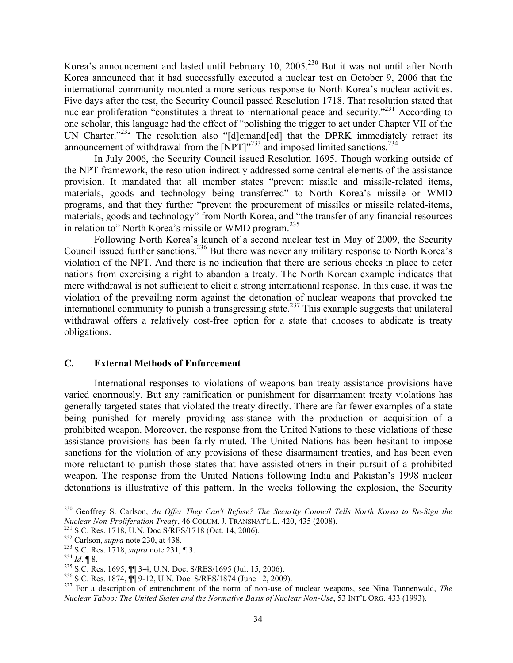Korea's announcement and lasted until February 10, 2005.<sup>230</sup> But it was not until after North Korea announced that it had successfully executed a nuclear test on October 9, 2006 that the international community mounted a more serious response to North Korea's nuclear activities. Five days after the test, the Security Council passed Resolution 1718. That resolution stated that nuclear proliferation "constitutes a threat to international peace and security."<sup>231</sup> According to one scholar, this language had the effect of "polishing the trigger to act under Chapter VII of the UN Charter."<sup>232</sup> The resolution also "[d]emand[ed] that the DPRK immediately retract its announcement of withdrawal from the  $[NPT]$ <sup>233</sup> and imposed limited sanctions.<sup>234</sup>

In July 2006, the Security Council issued Resolution 1695. Though working outside of the NPT framework, the resolution indirectly addressed some central elements of the assistance provision. It mandated that all member states "prevent missile and missile-related items, materials, goods and technology being transferred" to North Korea's missile or WMD programs, and that they further "prevent the procurement of missiles or missile related-items, materials, goods and technology" from North Korea, and "the transfer of any financial resources in relation to" North Korea's missile or WMD program.<sup>235</sup>

Following North Korea's launch of a second nuclear test in May of 2009, the Security Council issued further sanctions.236 But there was never any military response to North Korea's violation of the NPT. And there is no indication that there are serious checks in place to deter nations from exercising a right to abandon a treaty. The North Korean example indicates that mere withdrawal is not sufficient to elicit a strong international response. In this case, it was the violation of the prevailing norm against the detonation of nuclear weapons that provoked the international community to punish a transgressing state.<sup>237</sup> This example suggests that unilateral withdrawal offers a relatively cost-free option for a state that chooses to abdicate is treaty obligations.

#### **C. External Methods of Enforcement**

International responses to violations of weapons ban treaty assistance provisions have varied enormously. But any ramification or punishment for disarmament treaty violations has generally targeted states that violated the treaty directly. There are far fewer examples of a state being punished for merely providing assistance with the production or acquisition of a prohibited weapon. Moreover, the response from the United Nations to these violations of these assistance provisions has been fairly muted. The United Nations has been hesitant to impose sanctions for the violation of any provisions of these disarmament treaties, and has been even more reluctant to punish those states that have assisted others in their pursuit of a prohibited weapon. The response from the United Nations following India and Pakistan's 1998 nuclear detonations is illustrative of this pattern. In the weeks following the explosion, the Security

<sup>&</sup>lt;sup>230</sup> Geoffrey S. Carlson, *An Offer They Can't Refuse? The Security Council Tells North Korea to Re-Sign the Nuclear Non-Proliferation Treaty, 46 COLUM. J. TRANSNAT'L L. 420, 435 (2008).* 

<sup>&</sup>lt;sup>231</sup> S.C. Res. 1718, U.N. Doc S/RES/1718 (Oct. 14, 2006).<br><sup>232</sup> Carlson, *supra* note 230, at 438.<br><sup>233</sup> S.C. Res. 1718, *supra* note 231, ¶ 3.<br><sup>234</sup> Id. ¶ 8.<br><sup>236</sup> S.C. Res. 1695, ¶¶ 3-4, U.N. Doc. S/RES/1695 (Jul. 15, *Nuclear Taboo: The United States and the Normative Basis of Nuclear Non-Use*, 53 INT'L ORG. 433 (1993).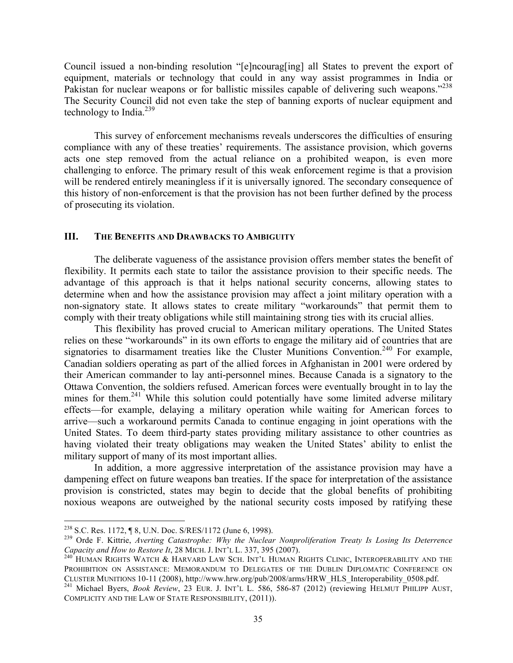Council issued a non-binding resolution "[e]ncourag[ing] all States to prevent the export of equipment, materials or technology that could in any way assist programmes in India or Pakistan for nuclear weapons or for ballistic missiles capable of delivering such weapons."<sup>238</sup> The Security Council did not even take the step of banning exports of nuclear equipment and technology to India. $^{239}$ 

This survey of enforcement mechanisms reveals underscores the difficulties of ensuring compliance with any of these treaties' requirements. The assistance provision, which governs acts one step removed from the actual reliance on a prohibited weapon, is even more challenging to enforce. The primary result of this weak enforcement regime is that a provision will be rendered entirely meaningless if it is universally ignored. The secondary consequence of this history of non-enforcement is that the provision has not been further defined by the process of prosecuting its violation.

# **III. THE BENEFITS AND DRAWBACKS TO AMBIGUITY**

The deliberate vagueness of the assistance provision offers member states the benefit of flexibility. It permits each state to tailor the assistance provision to their specific needs. The advantage of this approach is that it helps national security concerns, allowing states to determine when and how the assistance provision may affect a joint military operation with a non-signatory state. It allows states to create military "workarounds" that permit them to comply with their treaty obligations while still maintaining strong ties with its crucial allies.

This flexibility has proved crucial to American military operations. The United States relies on these "workarounds" in its own efforts to engage the military aid of countries that are signatories to disarmament treaties like the Cluster Munitions Convention.<sup>240</sup> For example, Canadian soldiers operating as part of the allied forces in Afghanistan in 2001 were ordered by their American commander to lay anti-personnel mines. Because Canada is a signatory to the Ottawa Convention, the soldiers refused. American forces were eventually brought in to lay the mines for them.<sup>241</sup> While this solution could potentially have some limited adverse military effects—for example, delaying a military operation while waiting for American forces to arrive—such a workaround permits Canada to continue engaging in joint operations with the United States. To deem third-party states providing military assistance to other countries as having violated their treaty obligations may weaken the United States' ability to enlist the military support of many of its most important allies.

In addition, a more aggressive interpretation of the assistance provision may have a dampening effect on future weapons ban treaties. If the space for interpretation of the assistance provision is constricted, states may begin to decide that the global benefits of prohibiting noxious weapons are outweighed by the national security costs imposed by ratifying these

<sup>&</sup>lt;sup>238</sup> S.C. Res. 1172, ¶ 8, U.N. Doc. S/RES/1172 (June 6, 1998).<br><sup>239</sup> Orde F. Kittrie, *Averting Catastrophe: Why the Nuclear Nonproliferation Treaty Is Losing Its Deterrence Capacity and How to Restore It. 28 MICH. J. INT* 

<sup>&</sup>lt;sup>240</sup> HUMAN RIGHTS WATCH & HARVARD LAW SCH. INT'L HUMAN RIGHTS CLINIC, INTEROPERABILITY AND THE PROHIBITION ON ASSISTANCE: MEMORANDUM TO DELEGATES OF THE DUBLIN DIPLOMATIC CONFERENCE ON CLUSTER MUNITIONS 10-11 (2008), http://www.hrw.org/pub/2008/arms/HRW\_HLS\_Interoperability\_0508.pdf. <sup>241</sup> Michael Byers, *Book Review*, 23 EUR. J. INT'L L. 586, 586-87 (2012) (reviewing HELMUT PHILIPP AUST,

COMPLICITY AND THE LAW OF STATE RESPONSIBILITY, (2011)).